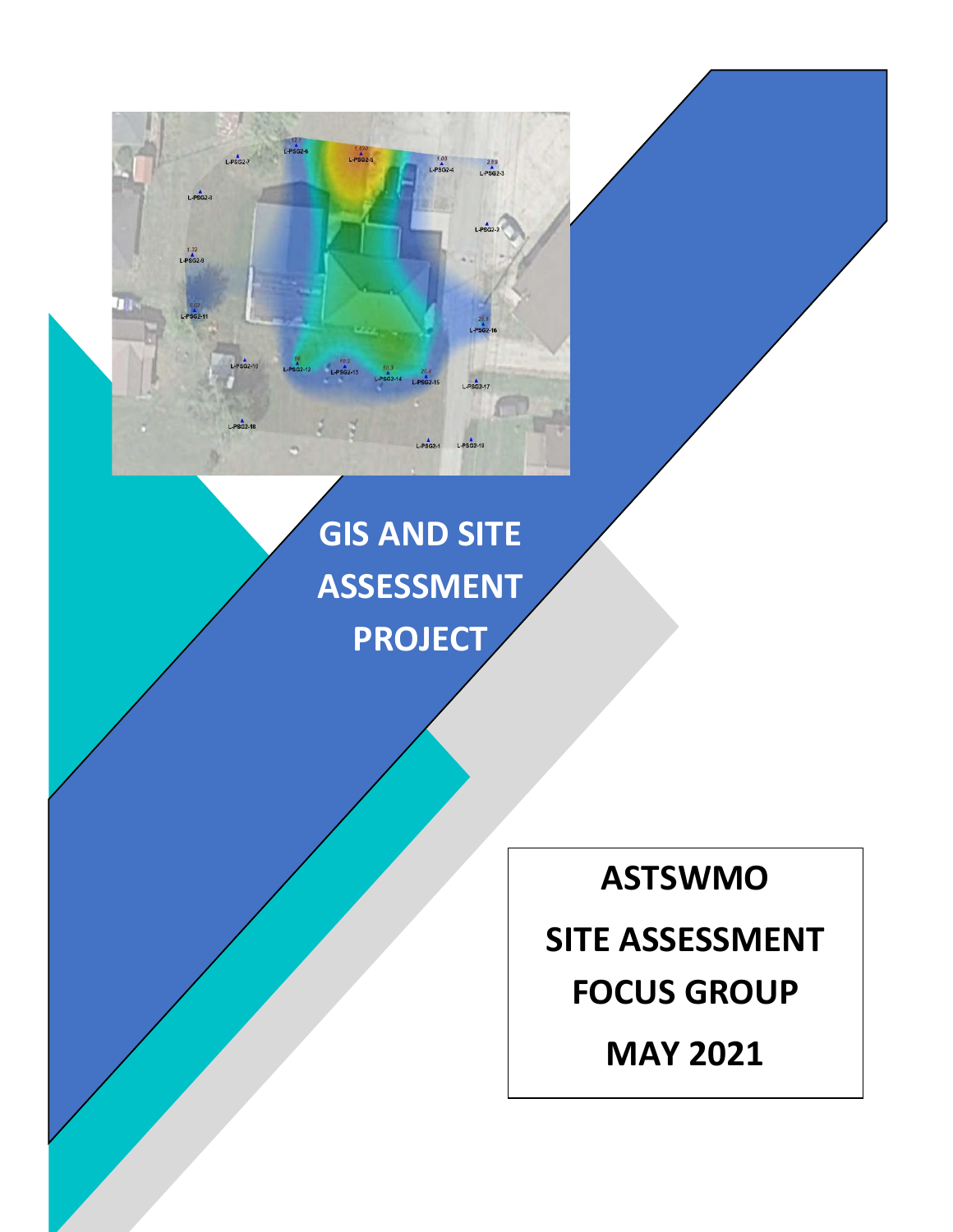# **GIS AND SITE ASSESSMENT PROJECT**

 $1.420$   $L = 602 - 5$ 

-PSG2-18

 $289$ <br>L-PSG2-3

**ASTSWMO** 

**SITE ASSESSMENT FOCUS GROUP**

**MAY 2021**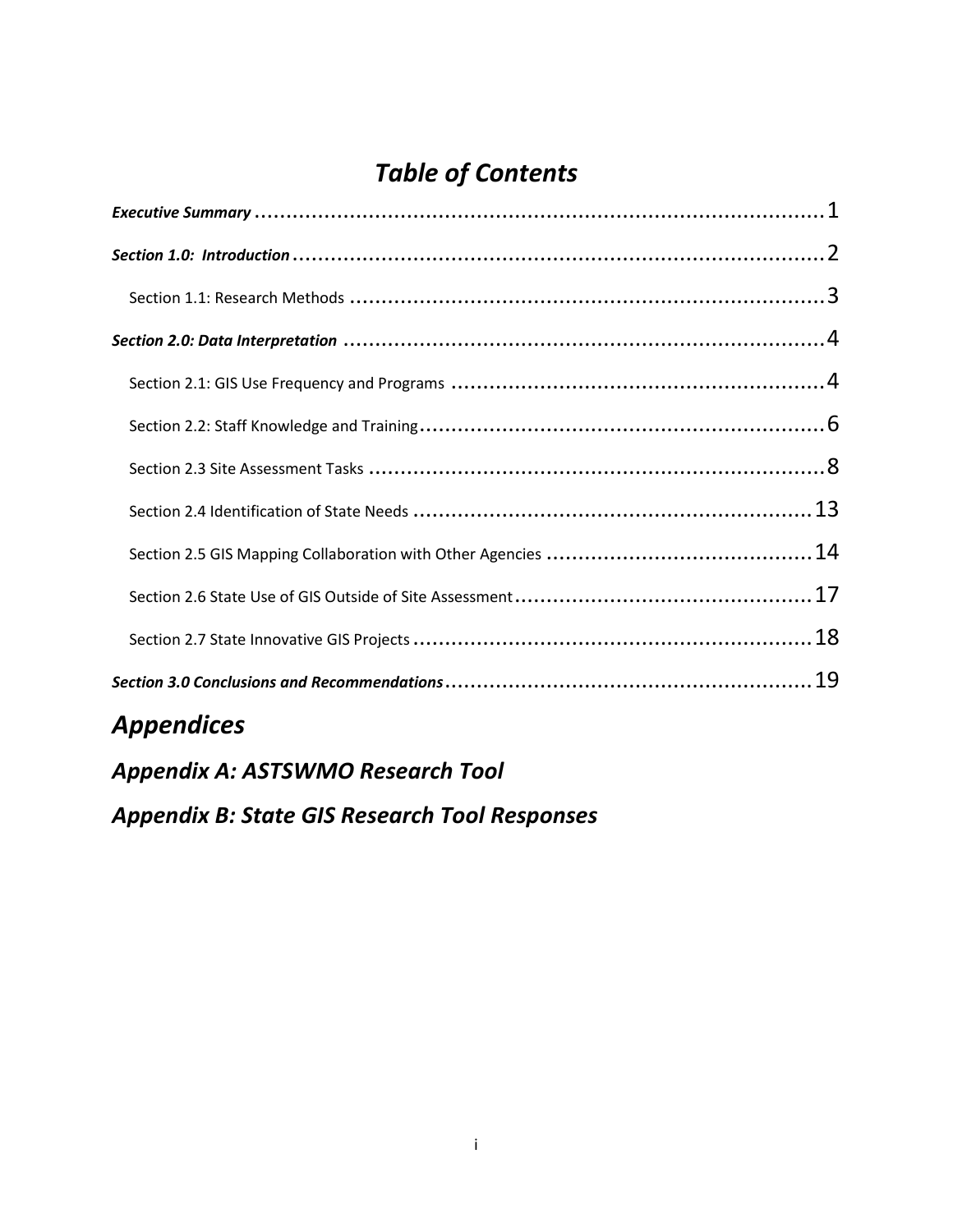# *Table of Contents*

# *Appendices*

*Appendix A: ASTSWMO Research Tool Appendix B: State GIS Research Tool Responses*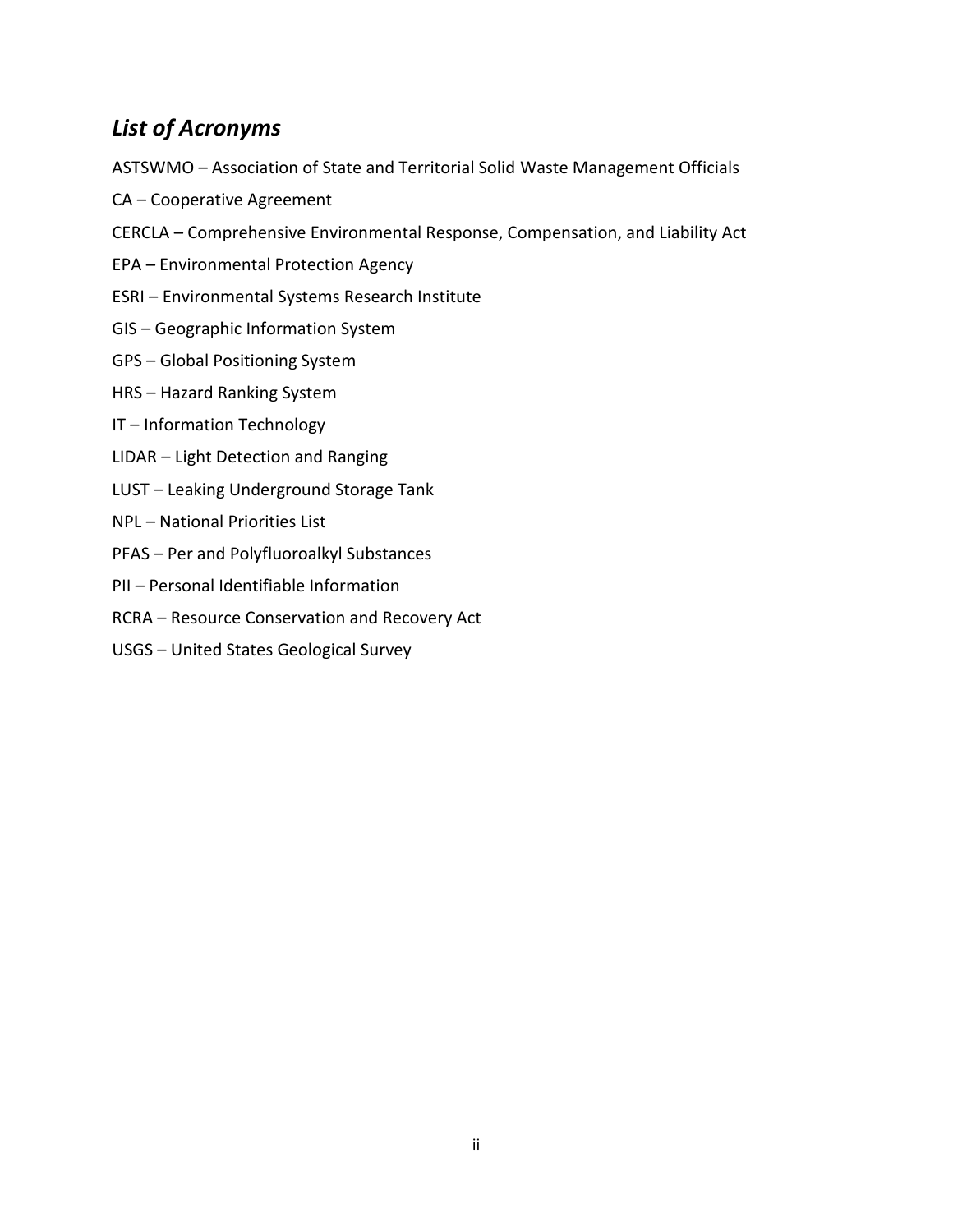# *List of Acronyms*

- ASTSWMO Association of State and Territorial Solid Waste Management Officials
- CA Cooperative Agreement
- CERCLA Comprehensive Environmental Response, Compensation, and Liability Act
- EPA Environmental Protection Agency
- ESRI Environmental Systems Research Institute
- GIS Geographic Information System
- GPS Global Positioning System
- HRS Hazard Ranking System
- IT Information Technology
- LIDAR Light Detection and Ranging
- LUST Leaking Underground Storage Tank
- NPL National Priorities List
- PFAS Per and Polyfluoroalkyl Substances
- PII Personal Identifiable Information
- RCRA Resource Conservation and Recovery Act
- USGS United States Geological Survey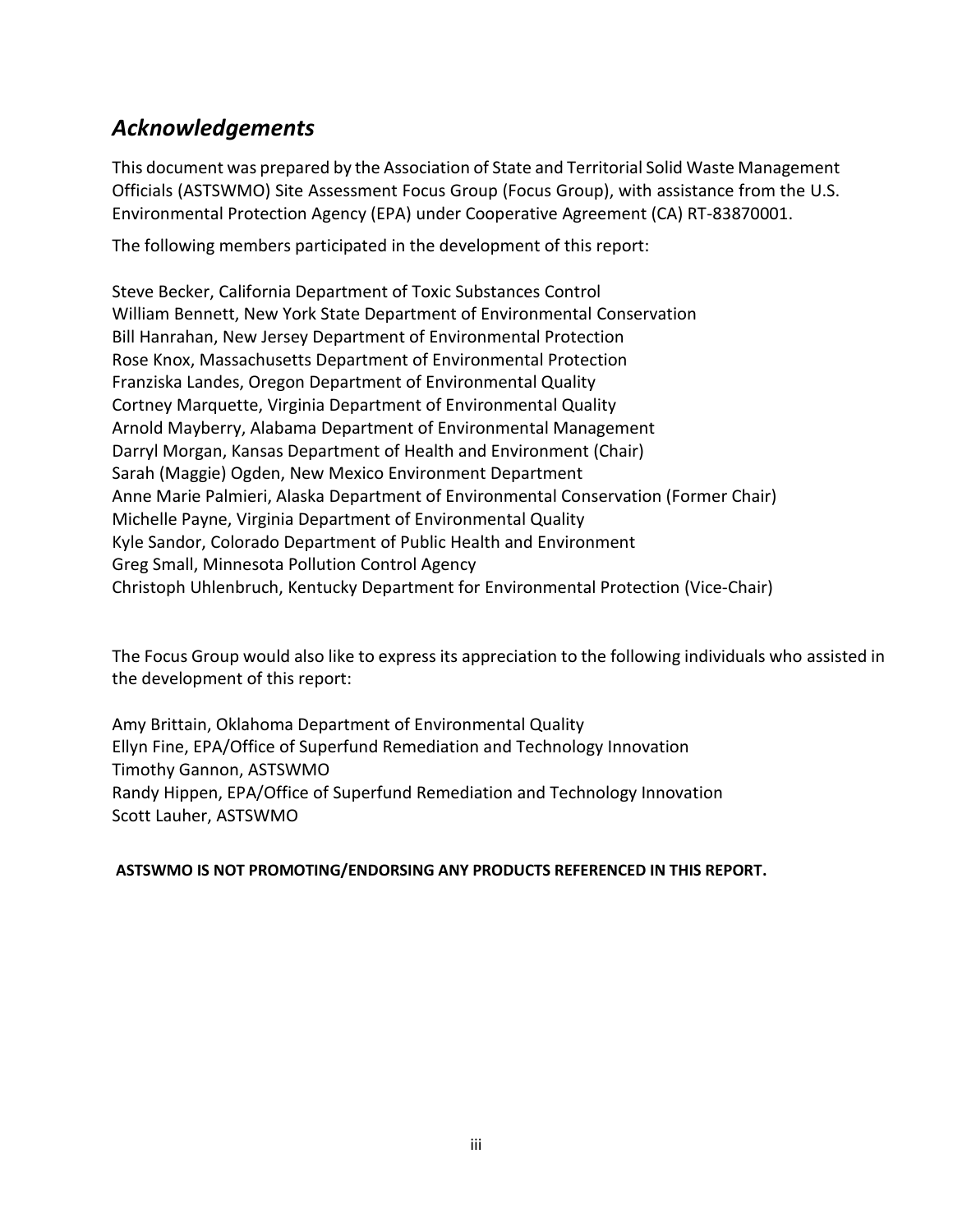# *Acknowledgements*

This document was prepared by the Association of State and Territorial Solid Waste Management Officials (ASTSWMO) Site Assessment Focus Group (Focus Group), with assistance from the U.S. Environmental Protection Agency (EPA) under Cooperative Agreement (CA) RT-83870001.

The following members participated in the development of this report:

Steve Becker, California Department of Toxic Substances Control William Bennett, New York State Department of Environmental Conservation Bill Hanrahan, New Jersey Department of Environmental Protection Rose Knox, Massachusetts Department of Environmental Protection Franziska Landes, Oregon Department of Environmental Quality Cortney Marquette, Virginia Department of Environmental Quality Arnold Mayberry, Alabama Department of Environmental Management Darryl Morgan, Kansas Department of Health and Environment (Chair) Sarah (Maggie) Ogden, New Mexico Environment Department Anne Marie Palmieri, Alaska Department of Environmental Conservation (Former Chair) Michelle Payne, Virginia Department of Environmental Quality Kyle Sandor, Colorado Department of Public Health and Environment Greg Small, Minnesota Pollution Control Agency Christoph Uhlenbruch, Kentucky Department for Environmental Protection (Vice-Chair)

The Focus Group would also like to express its appreciation to the following individuals who assisted in the development of this report:

Amy Brittain, Oklahoma Department of Environmental Quality Ellyn Fine, EPA/Office of Superfund Remediation and Technology Innovation Timothy Gannon, ASTSWMO Randy Hippen, EPA/Office of Superfund Remediation and Technology Innovation Scott Lauher, ASTSWMO

#### **ASTSWMO IS NOT PROMOTING/ENDORSING ANY PRODUCTS REFERENCED IN THIS REPORT.**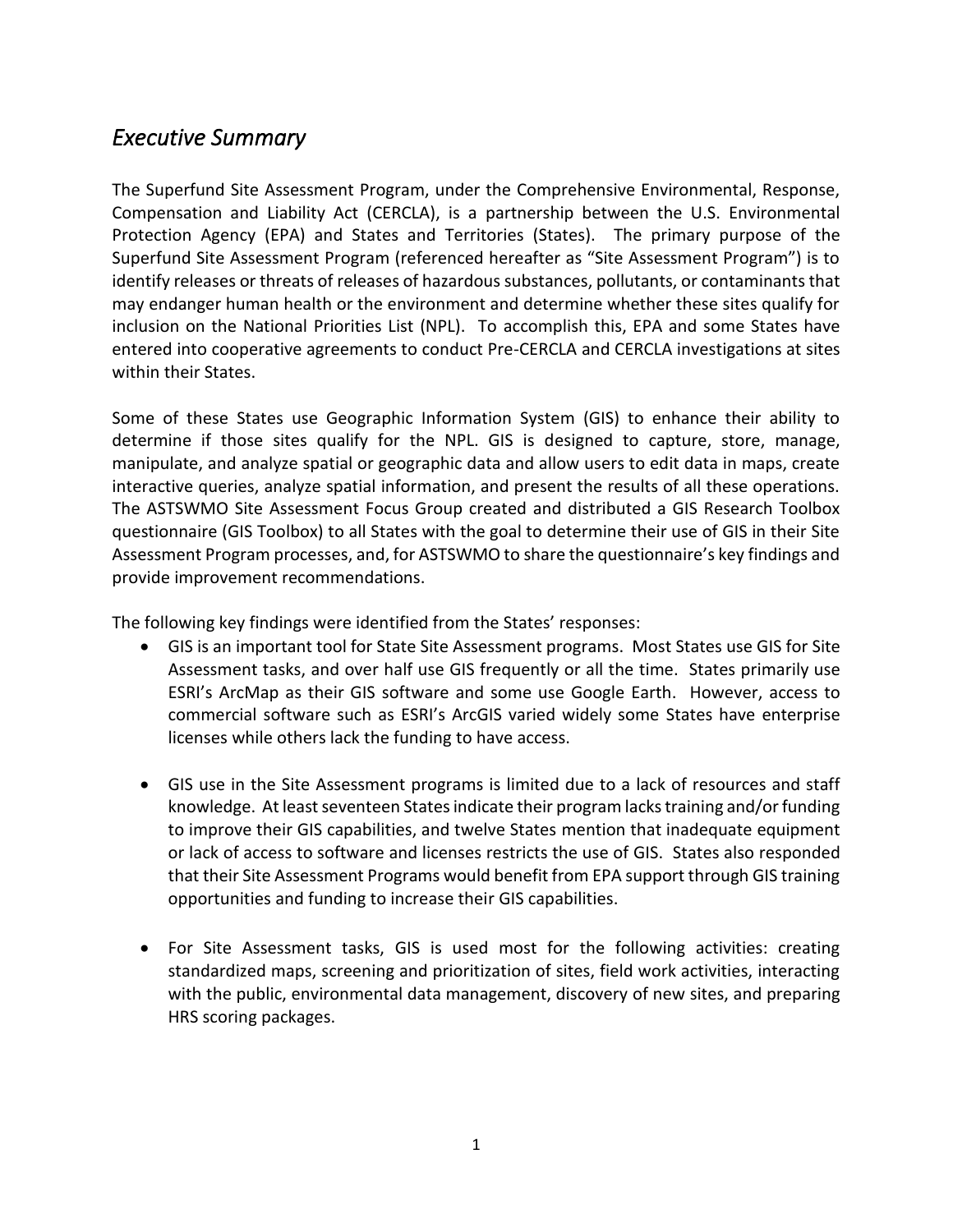### <span id="page-4-0"></span>*Executive Summary*

The Superfund Site Assessment Program, under the Comprehensive Environmental, Response, Compensation and Liability Act (CERCLA), is a partnership between the U.S. Environmental Protection Agency (EPA) and States and Territories (States). The primary purpose of the Superfund Site Assessment Program (referenced hereafter as "Site Assessment Program") is to identify releases or threats of releases of hazardous substances, pollutants, or contaminants that may endanger human health or the environment and determine whether these sites qualify for inclusion on the National Priorities List (NPL). To accomplish this, EPA and some States have entered into cooperative agreements to conduct Pre-CERCLA and CERCLA investigations at sites within their States.

Some of these States use Geographic Information System (GIS) to enhance their ability to determine if those sites qualify for the NPL. GIS is designed to capture, store, manage, manipulate, and analyze spatial or geographic data and allow users to edit data in maps, create interactive queries, analyze spatial information, and present the results of all these operations. The ASTSWMO Site Assessment Focus Group created and distributed a GIS Research Toolbox questionnaire (GIS Toolbox) to all States with the goal to determine their use of GIS in their Site Assessment Program processes, and, for ASTSWMO to share the questionnaire's key findings and provide improvement recommendations.

The following key findings were identified from the States' responses:

- GIS is an important tool for State Site Assessment programs. Most States use GIS for Site Assessment tasks, and over half use GIS frequently or all the time. States primarily use ESRI's ArcMap as their GIS software and some use Google Earth. However, access to commercial software such as ESRI's ArcGIS varied widely some States have enterprise licenses while others lack the funding to have access.
- GIS use in the Site Assessment programs is limited due to a lack of resources and staff knowledge. At least seventeen States indicate their program lacks training and/or funding to improve their GIS capabilities, and twelve States mention that inadequate equipment or lack of access to software and licenses restricts the use of GIS. States also responded that their Site Assessment Programs would benefit from EPA support through GIS training opportunities and funding to increase their GIS capabilities.
- For Site Assessment tasks, GIS is used most for the following activities: creating standardized maps, screening and prioritization of sites, field work activities, interacting with the public, environmental data management, discovery of new sites, and preparing HRS scoring packages.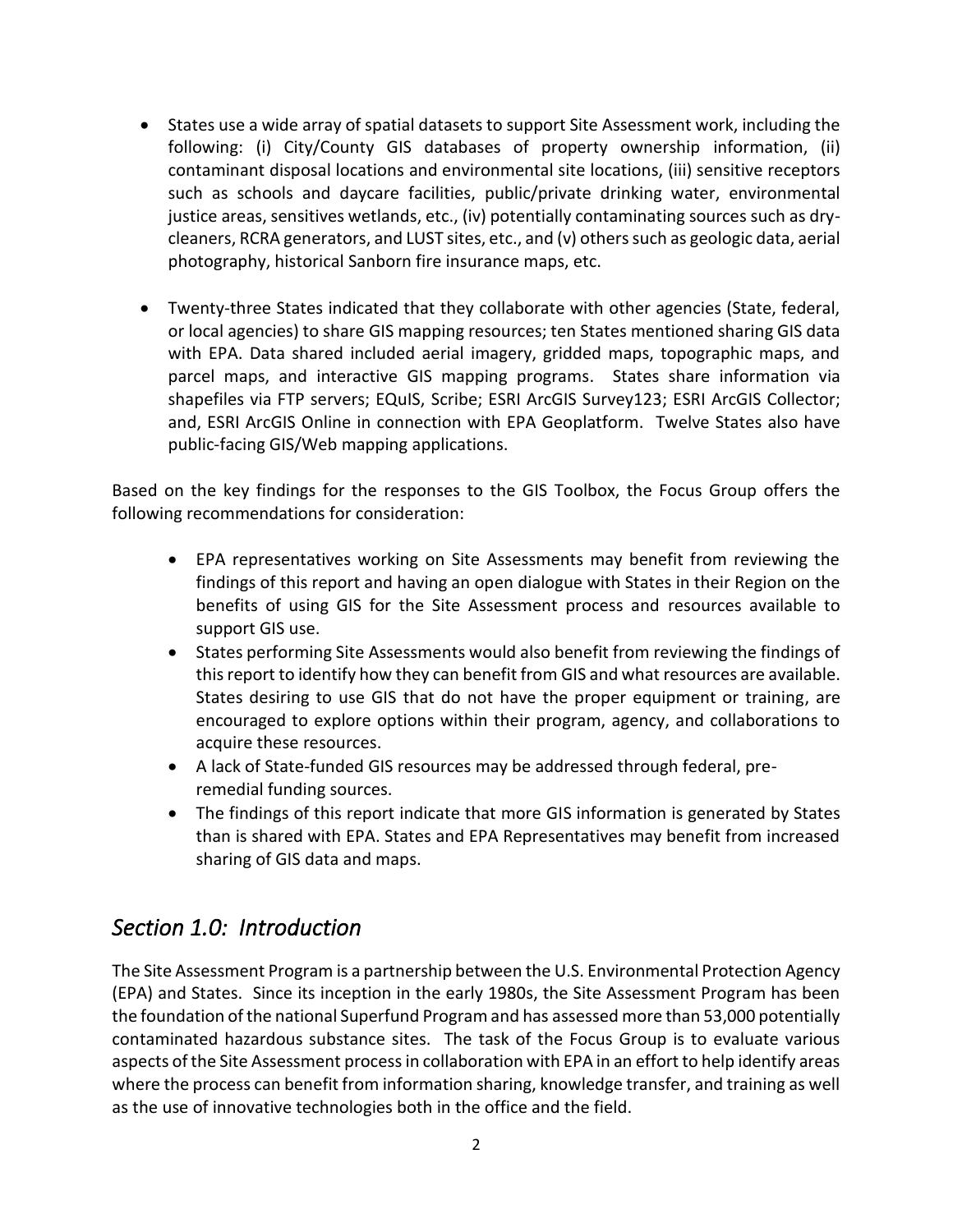- States use a wide array of spatial datasets to support Site Assessment work, including the following: (i) City/County GIS databases of property ownership information, (ii) contaminant disposal locations and environmental site locations, (iii) sensitive receptors such as schools and daycare facilities, public/private drinking water, environmental justice areas, sensitives wetlands, etc., (iv) potentially contaminating sources such as drycleaners, RCRA generators, and LUST sites, etc., and (v) others such as geologic data, aerial photography, historical Sanborn fire insurance maps, etc.
- Twenty-three States indicated that they collaborate with other agencies (State, federal, or local agencies) to share GIS mapping resources; ten States mentioned sharing GIS data with EPA. Data shared included aerial imagery, gridded maps, topographic maps, and parcel maps, and interactive GIS mapping programs. States share information via shapefiles via FTP servers; EQuIS, Scribe; ESRI ArcGIS Survey123; ESRI ArcGIS Collector; and, ESRI ArcGIS Online in connection with EPA Geoplatform. Twelve States also have public-facing GIS/Web mapping applications.

Based on the key findings for the responses to the GIS Toolbox, the Focus Group offers the following recommendations for consideration:

- EPA representatives working on Site Assessments may benefit from reviewing the findings of this report and having an open dialogue with States in their Region on the benefits of using GIS for the Site Assessment process and resources available to support GIS use.
- States performing Site Assessments would also benefit from reviewing the findings of this report to identify how they can benefit from GIS and what resources are available. States desiring to use GIS that do not have the proper equipment or training, are encouraged to explore options within their program, agency, and collaborations to acquire these resources.
- A lack of State-funded GIS resources may be addressed through federal, preremedial funding sources.
- The findings of this report indicate that more GIS information is generated by States than is shared with EPA. States and EPA Representatives may benefit from increased sharing of GIS data and maps.

# <span id="page-5-0"></span>*Section 1.0: Introduction*

The Site Assessment Program is a partnership between the U.S. Environmental Protection Agency (EPA) and States. Since its inception in the early 1980s, the Site Assessment Program has been the foundation of the national Superfund Program and has assessed more than 53,000 potentially contaminated hazardous substance sites. The task of the Focus Group is to evaluate various aspects of the Site Assessment process in collaboration with EPA in an effort to help identify areas where the process can benefit from information sharing, knowledge transfer, and training as well as the use of innovative technologies both in the office and the field.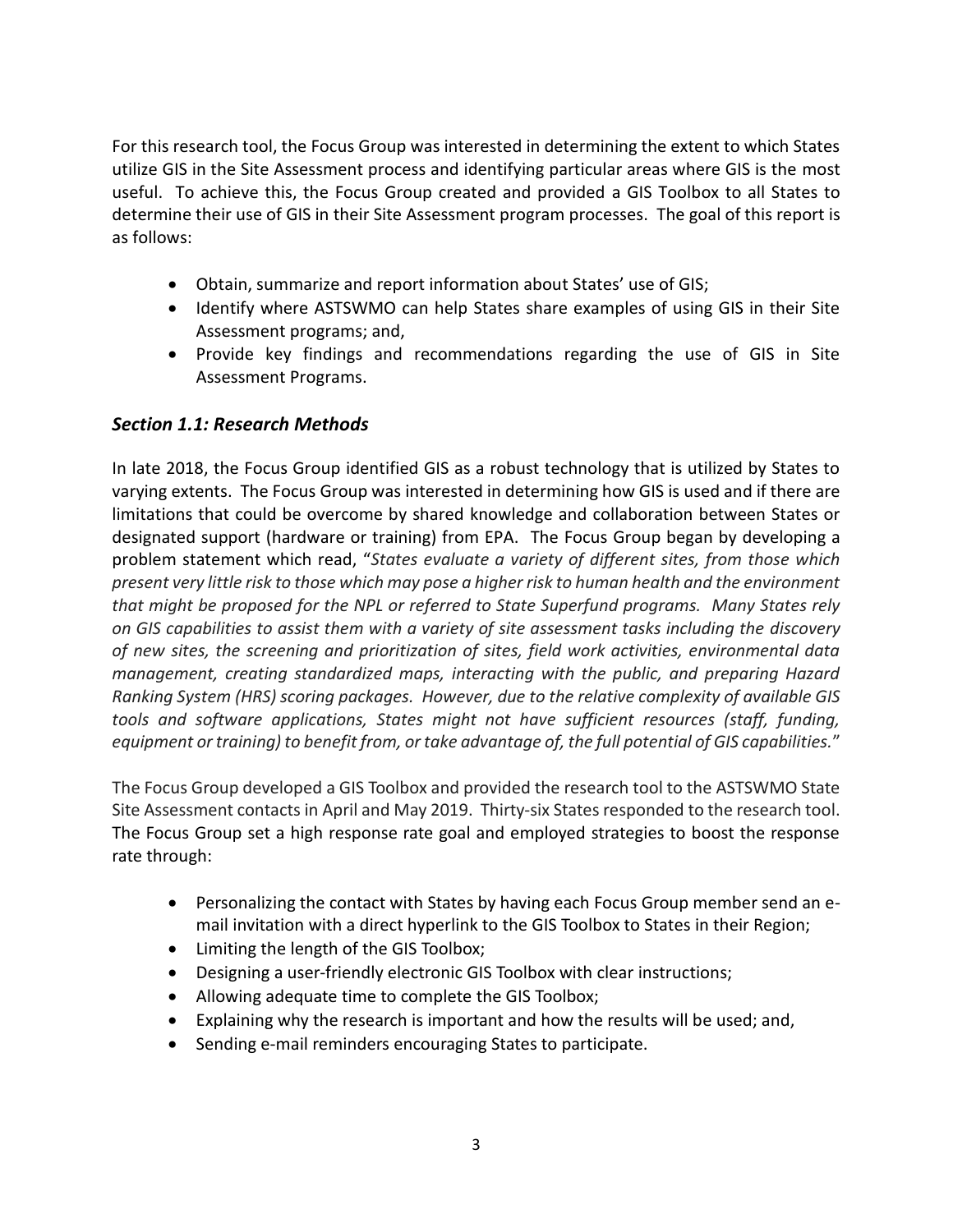For this research tool, the Focus Group was interested in determining the extent to which States utilize GIS in the Site Assessment process and identifying particular areas where GIS is the most useful. To achieve this, the Focus Group created and provided a GIS Toolbox to all States to determine their use of GIS in their Site Assessment program processes. The goal of this report is as follows:

- Obtain, summarize and report information about States' use of GIS;
- Identify where ASTSWMO can help States share examples of using GIS in their Site Assessment programs; and,
- Provide key findings and recommendations regarding the use of GIS in Site Assessment Programs.

#### <span id="page-6-0"></span>*Section 1.1: Research Methods*

In late 2018, the Focus Group identified GIS as a robust technology that is utilized by States to varying extents. The Focus Group was interested in determining how GIS is used and if there are limitations that could be overcome by shared knowledge and collaboration between States or designated support (hardware or training) from EPA. The Focus Group began by developing a problem statement which read, "*States evaluate a variety of different sites, from those which present very little risk to those which may pose a higher risk to human health and the environment that might be proposed for the NPL or referred to State Superfund programs. Many States rely on GIS capabilities to assist them with a variety of site assessment tasks including the discovery of new sites, the screening and prioritization of sites, field work activities, environmental data management, creating standardized maps, interacting with the public, and preparing Hazard Ranking System (HRS) scoring packages. However, due to the relative complexity of available GIS tools and software applications, States might not have sufficient resources (staff, funding, equipment or training) to benefit from, or take advantage of, the full potential of GIS capabilities.*"

The Focus Group developed a GIS Toolbox and provided the research tool to the ASTSWMO State Site Assessment contacts in April and May 2019. Thirty-six States responded to the research tool. The Focus Group set a high response rate goal and employed strategies to boost the response rate through:

- Personalizing the contact with States by having each Focus Group member send an email invitation with a direct hyperlink to the GIS Toolbox to States in their Region;
- Limiting the length of the GIS Toolbox;
- Designing a user-friendly electronic GIS Toolbox with clear instructions;
- Allowing adequate time to complete the GIS Toolbox;
- Explaining why the research is important and how the results will be used; and,
- Sending e-mail reminders encouraging States to participate.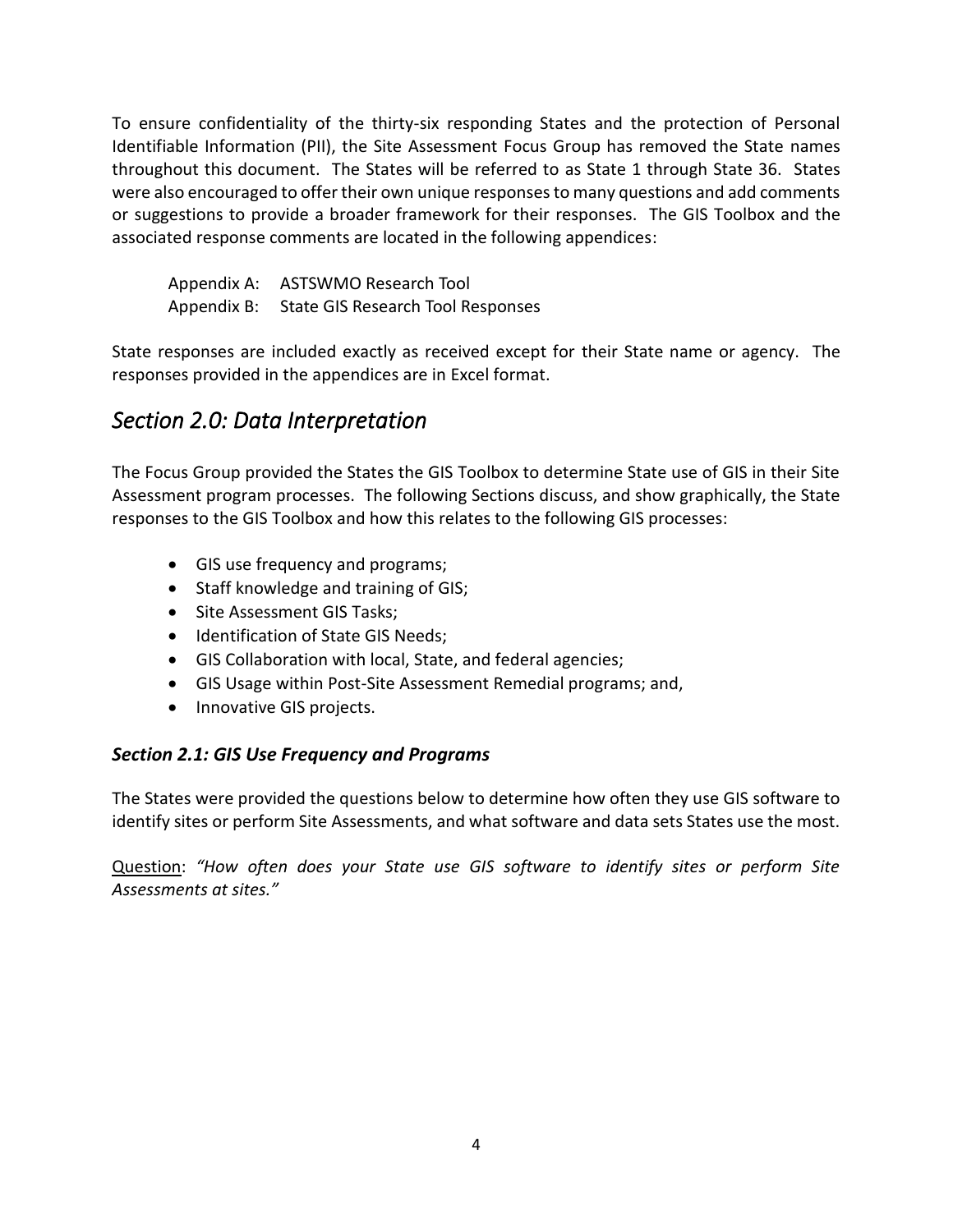To ensure confidentiality of the thirty-six responding States and the protection of Personal Identifiable Information (PII), the Site Assessment Focus Group has removed the State names throughout this document. The States will be referred to as State 1 through State 36. States were also encouraged to offer their own unique responses to many questions and add comments or suggestions to provide a broader framework for their responses. The GIS Toolbox and the associated response comments are located in the following appendices:

Appendix A: ASTSWMO Research Tool Appendix B: State GIS Research Tool Responses

State responses are included exactly as received except for their State name or agency. The responses provided in the appendices are in Excel format.

# <span id="page-7-0"></span>*Section 2.0: Data Interpretation*

The Focus Group provided the States the GIS Toolbox to determine State use of GIS in their Site Assessment program processes. The following Sections discuss, and show graphically, the State responses to the GIS Toolbox and how this relates to the following GIS processes:

- GIS use frequency and programs;
- Staff knowledge and training of GIS;
- Site Assessment GIS Tasks;
- Identification of State GIS Needs;
- GIS Collaboration with local, State, and federal agencies;
- GIS Usage within Post-Site Assessment Remedial programs; and,
- Innovative GIS projects.

#### <span id="page-7-1"></span>*Section 2.1: GIS Use Frequency and Programs*

The States were provided the questions below to determine how often they use GIS software to identify sites or perform Site Assessments, and what software and data sets States use the most.

Question: *"How often does your State use GIS software to identify sites or perform Site Assessments at sites."*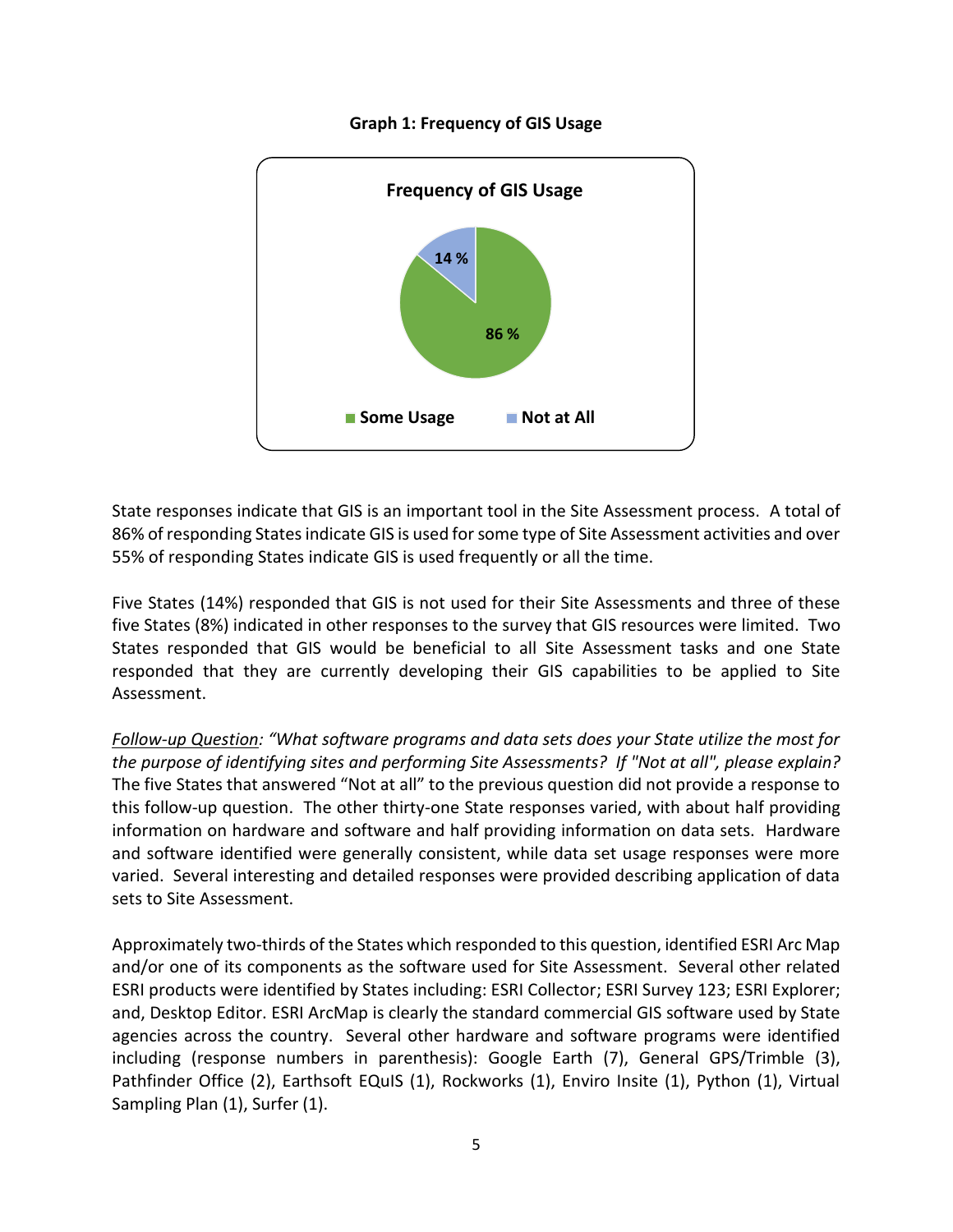

#### **Graph 1: Frequency of GIS Usage**

State responses indicate that GIS is an important tool in the Site Assessment process. A total of 86% of responding States indicate GIS is used for some type of Site Assessment activities and over 55% of responding States indicate GIS is used frequently or all the time.

Five States (14%) responded that GIS is not used for their Site Assessments and three of these five States (8%) indicated in other responses to the survey that GIS resources were limited. Two States responded that GIS would be beneficial to all Site Assessment tasks and one State responded that they are currently developing their GIS capabilities to be applied to Site Assessment.

*Follow-up Question: "What software programs and data sets does your State utilize the most for the purpose of identifying sites and performing Site Assessments? If "Not at all", please explain?*  The five States that answered "Not at all" to the previous question did not provide a response to this follow-up question. The other thirty-one State responses varied, with about half providing information on hardware and software and half providing information on data sets. Hardware and software identified were generally consistent, while data set usage responses were more varied. Several interesting and detailed responses were provided describing application of data sets to Site Assessment.

Approximately two-thirds of the States which responded to this question, identified ESRI Arc Map and/or one of its components as the software used for Site Assessment. Several other related ESRI products were identified by States including: ESRI Collector; ESRI Survey 123; ESRI Explorer; and, Desktop Editor. ESRI ArcMap is clearly the standard commercial GIS software used by State agencies across the country. Several other hardware and software programs were identified including (response numbers in parenthesis): Google Earth (7), General GPS/Trimble (3), Pathfinder Office (2), Earthsoft EQuIS (1), Rockworks (1), Enviro Insite (1), Python (1), Virtual Sampling Plan (1), Surfer (1).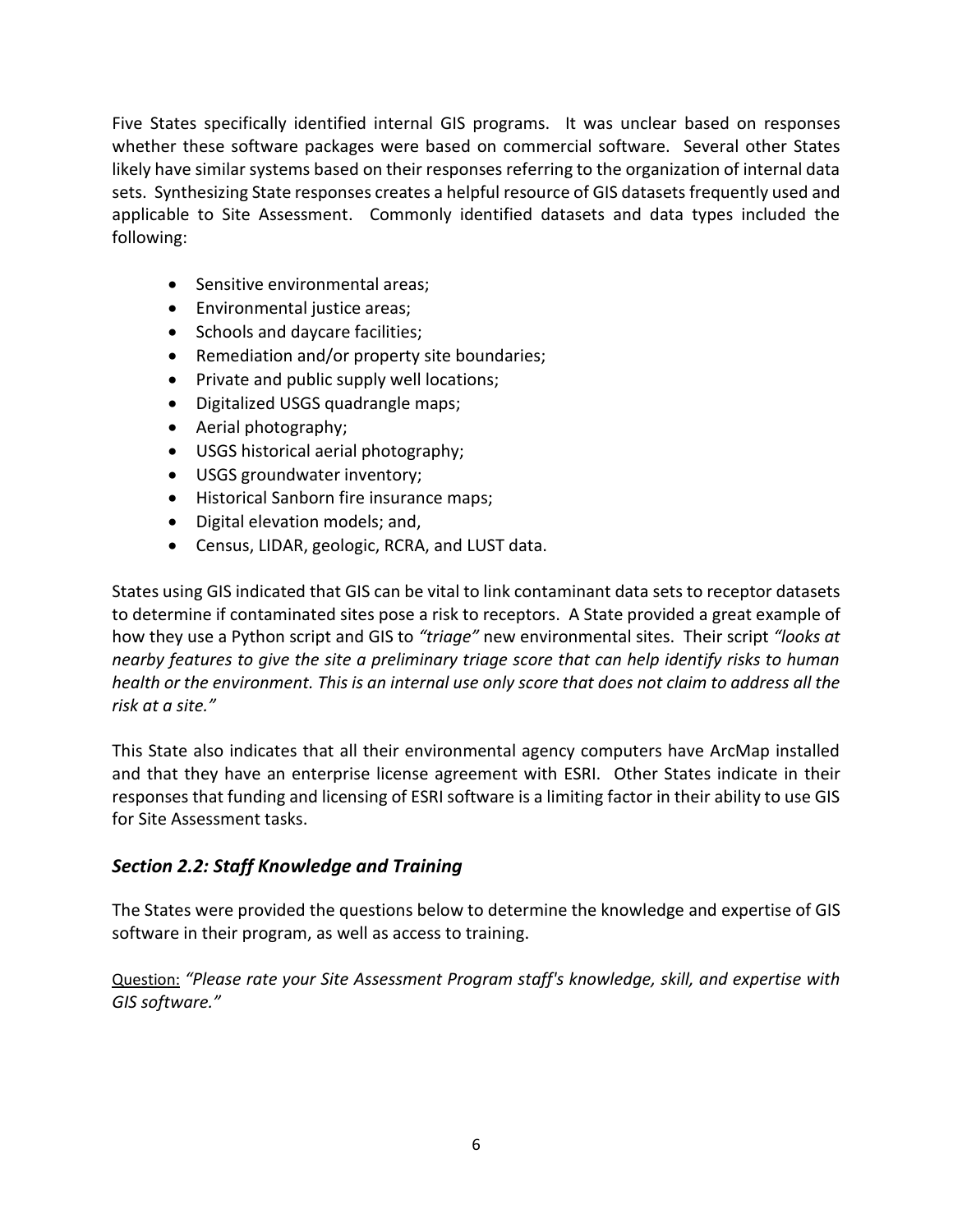Five States specifically identified internal GIS programs. It was unclear based on responses whether these software packages were based on commercial software. Several other States likely have similar systems based on their responses referring to the organization of internal data sets. Synthesizing State responses creates a helpful resource of GIS datasets frequently used and applicable to Site Assessment. Commonly identified datasets and data types included the following:

- Sensitive environmental areas;
- Environmental justice areas;
- Schools and daycare facilities;
- Remediation and/or property site boundaries;
- Private and public supply well locations;
- Digitalized USGS quadrangle maps;
- Aerial photography;
- USGS historical aerial photography;
- USGS groundwater inventory;
- Historical Sanborn fire insurance maps;
- Digital elevation models; and,
- Census, LIDAR, geologic, RCRA, and LUST data.

States using GIS indicated that GIS can be vital to link contaminant data sets to receptor datasets to determine if contaminated sites pose a risk to receptors. A State provided a great example of how they use a Python script and GIS to *"triage"* new environmental sites. Their script *"looks at nearby features to give the site a preliminary triage score that can help identify risks to human health or the environment. This is an internal use only score that does not claim to address all the risk at a site."*

This State also indicates that all their environmental agency computers have ArcMap installed and that they have an enterprise license agreement with ESRI. Other States indicate in their responses that funding and licensing of ESRI software is a limiting factor in their ability to use GIS for Site Assessment tasks.

#### <span id="page-9-0"></span>*Section 2.2: Staff Knowledge and Training*

The States were provided the questions below to determine the knowledge and expertise of GIS software in their program, as well as access to training.

Question: *"Please rate your Site Assessment Program staff's knowledge, skill, and expertise with GIS software."*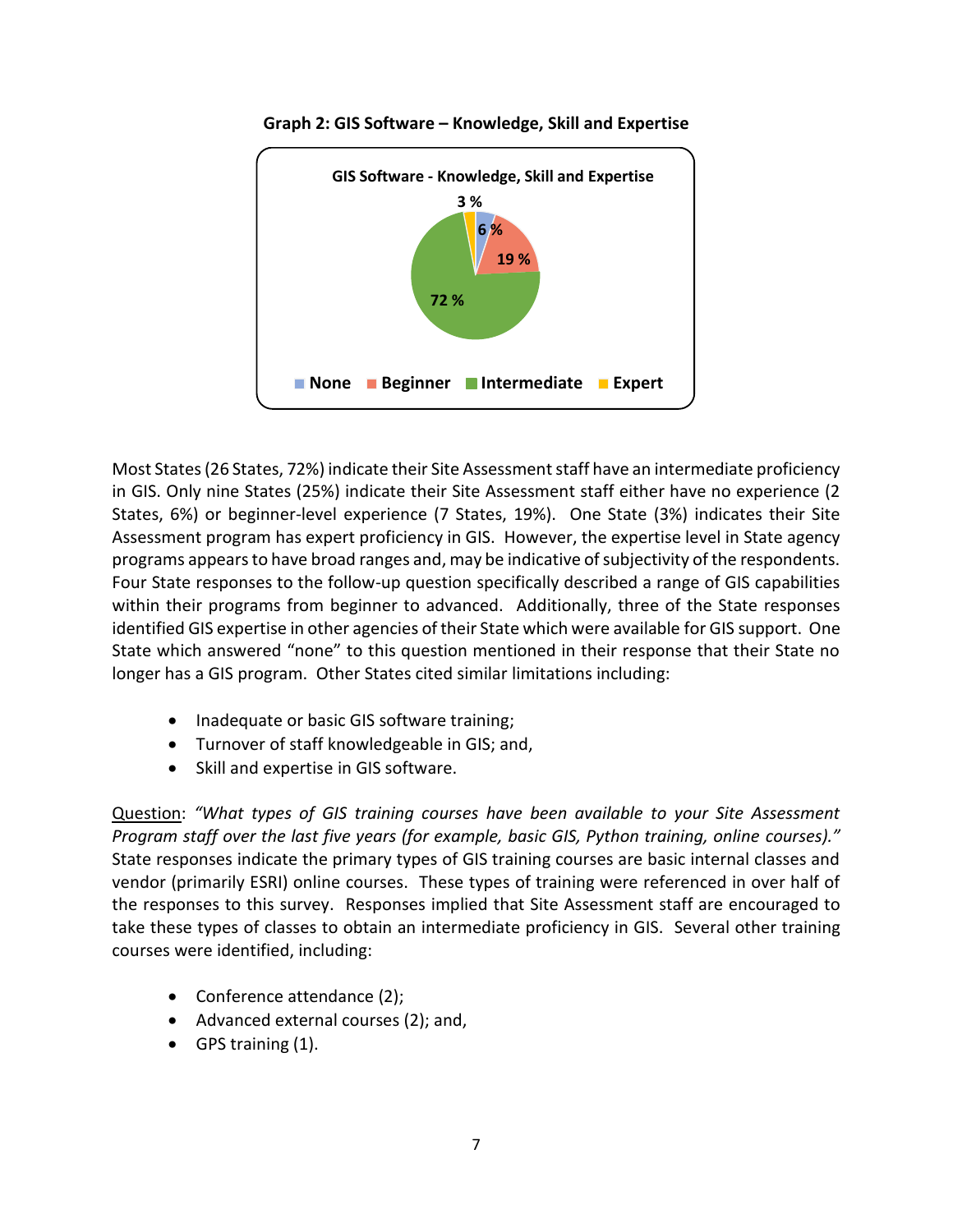



Most States (26 States, 72%) indicate their Site Assessment staff have an intermediate proficiency in GIS. Only nine States (25%) indicate their Site Assessment staff either have no experience (2 States, 6%) or beginner-level experience (7 States, 19%). One State (3%) indicates their Site Assessment program has expert proficiency in GIS. However, the expertise level in State agency programs appears to have broad ranges and, may be indicative of subjectivity of the respondents. Four State responses to the follow-up question specifically described a range of GIS capabilities within their programs from beginner to advanced. Additionally, three of the State responses identified GIS expertise in other agencies of their State which were available for GIS support. One State which answered "none" to this question mentioned in their response that their State no longer has a GIS program. Other States cited similar limitations including:

- Inadequate or basic GIS software training;
- Turnover of staff knowledgeable in GIS; and,
- Skill and expertise in GIS software.

Question: *"What types of GIS training courses have been available to your Site Assessment Program staff over the last five years (for example, basic GIS, Python training, online courses)."* State responses indicate the primary types of GIS training courses are basic internal classes and vendor (primarily ESRI) online courses. These types of training were referenced in over half of the responses to this survey. Responses implied that Site Assessment staff are encouraged to take these types of classes to obtain an intermediate proficiency in GIS. Several other training courses were identified, including:

- Conference attendance (2);
- Advanced external courses (2); and,
- GPS training (1).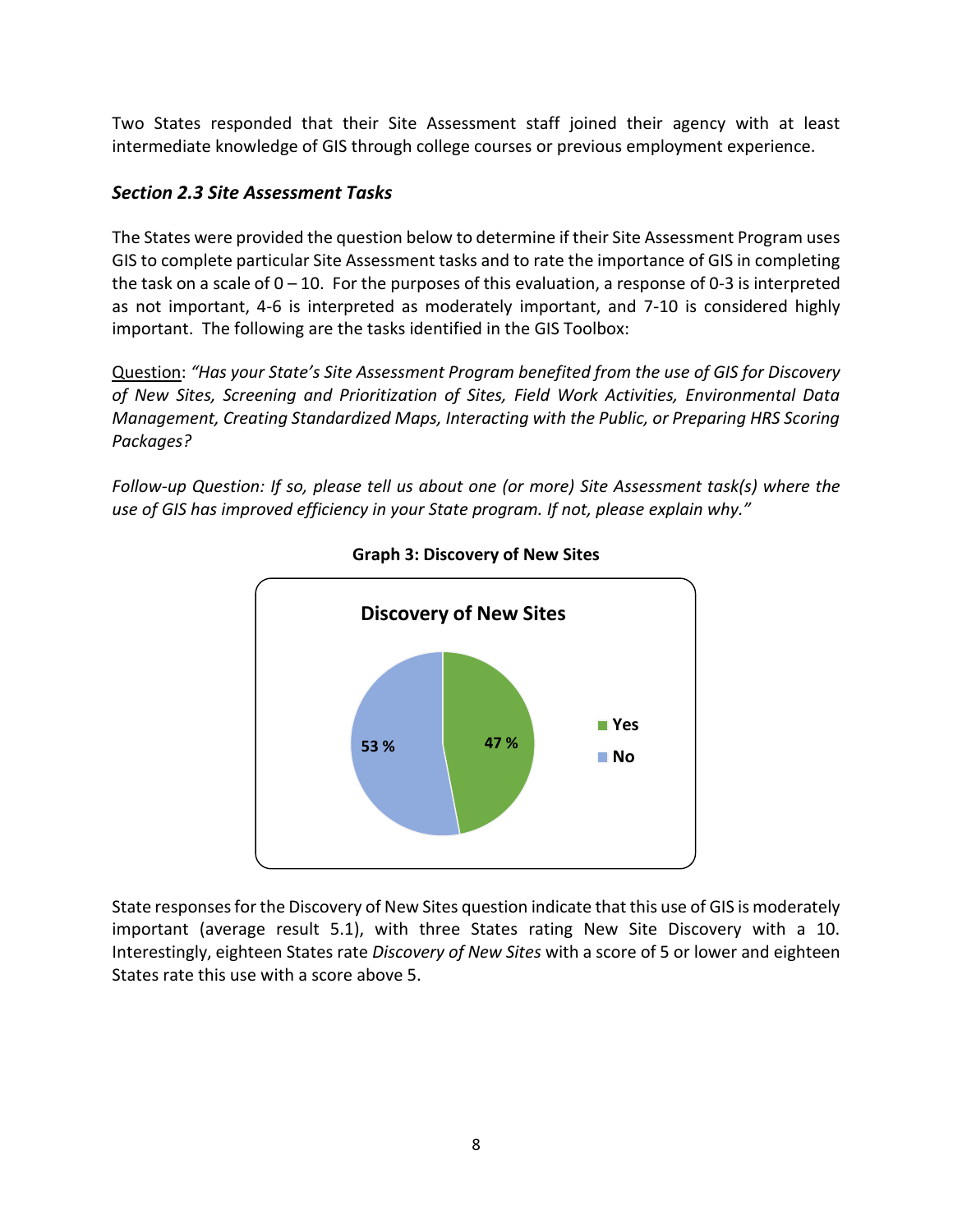Two States responded that their Site Assessment staff joined their agency with at least intermediate knowledge of GIS through college courses or previous employment experience.

#### <span id="page-11-0"></span>*Section 2.3 Site Assessment Tasks*

The States were provided the question below to determine if their Site Assessment Program uses GIS to complete particular Site Assessment tasks and to rate the importance of GIS in completing the task on a scale of  $0 - 10$ . For the purposes of this evaluation, a response of 0-3 is interpreted as not important, 4-6 is interpreted as moderately important, and 7-10 is considered highly important. The following are the tasks identified in the GIS Toolbox:

Question: *"Has your State's Site Assessment Program benefited from the use of GIS for Discovery of New Sites, Screening and Prioritization of Sites, Field Work Activities, Environmental Data Management, Creating Standardized Maps, Interacting with the Public, or Preparing HRS Scoring Packages?* 

*Follow-up Question: If so, please tell us about one (or more) Site Assessment task(s) where the use of GIS has improved efficiency in your State program. If not, please explain why."*



**Graph 3: Discovery of New Sites**

State responses for the Discovery of New Sites question indicate that this use of GIS is moderately important (average result 5.1), with three States rating New Site Discovery with a 10. Interestingly, eighteen States rate *Discovery of New Sites* with a score of 5 or lower and eighteen States rate this use with a score above 5.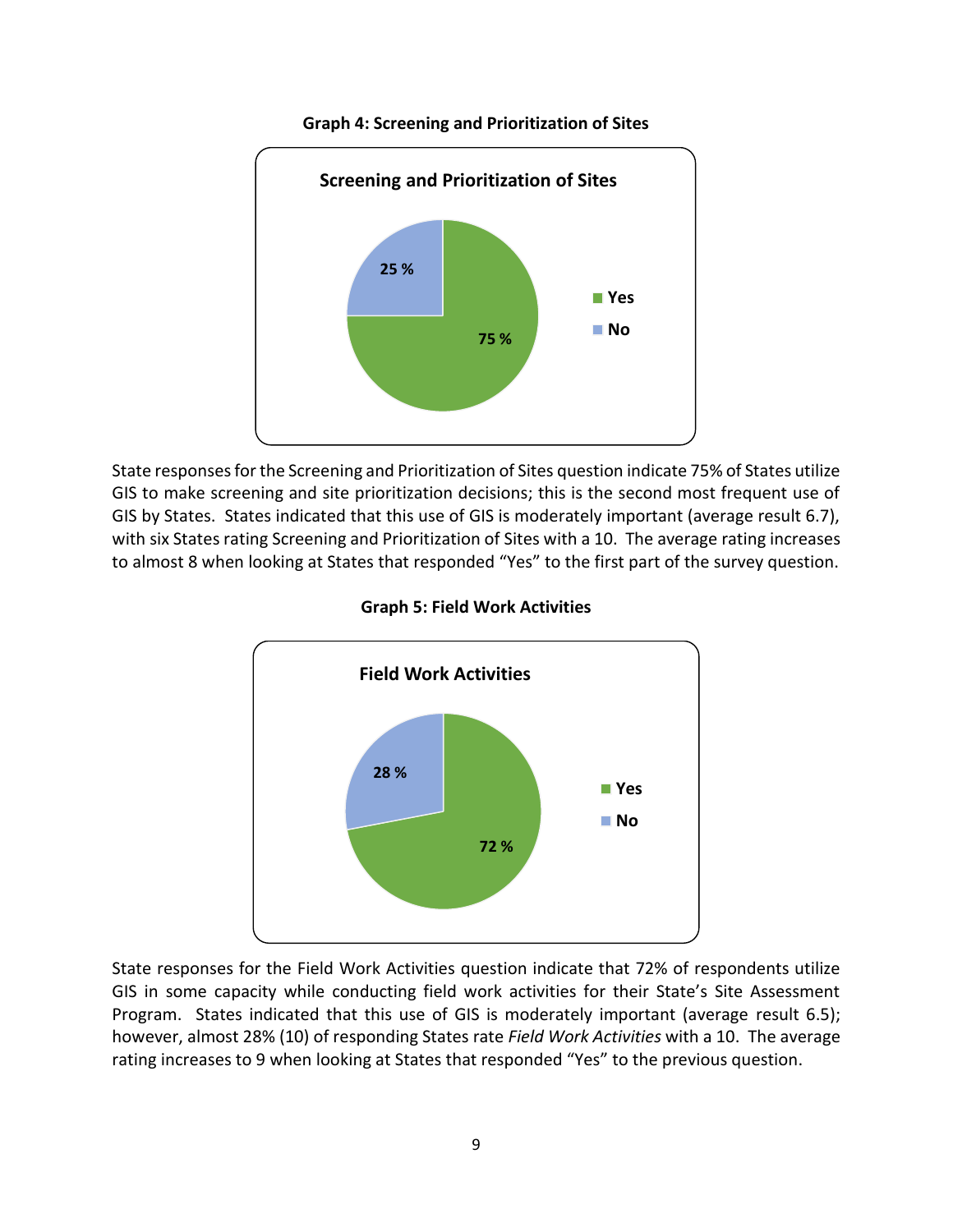

**Graph 4: Screening and Prioritization of Sites**

State responses for the Screening and Prioritization of Sites question indicate 75% of States utilize GIS to make screening and site prioritization decisions; this is the second most frequent use of GIS by States. States indicated that this use of GIS is moderately important (average result 6.7), with six States rating Screening and Prioritization of Sites with a 10. The average rating increases to almost 8 when looking at States that responded "Yes" to the first part of the survey question.





State responses for the Field Work Activities question indicate that 72% of respondents utilize GIS in some capacity while conducting field work activities for their State's Site Assessment Program. States indicated that this use of GIS is moderately important (average result 6.5); however, almost 28% (10) of responding States rate *Field Work Activities* with a 10. The average rating increases to 9 when looking at States that responded "Yes" to the previous question.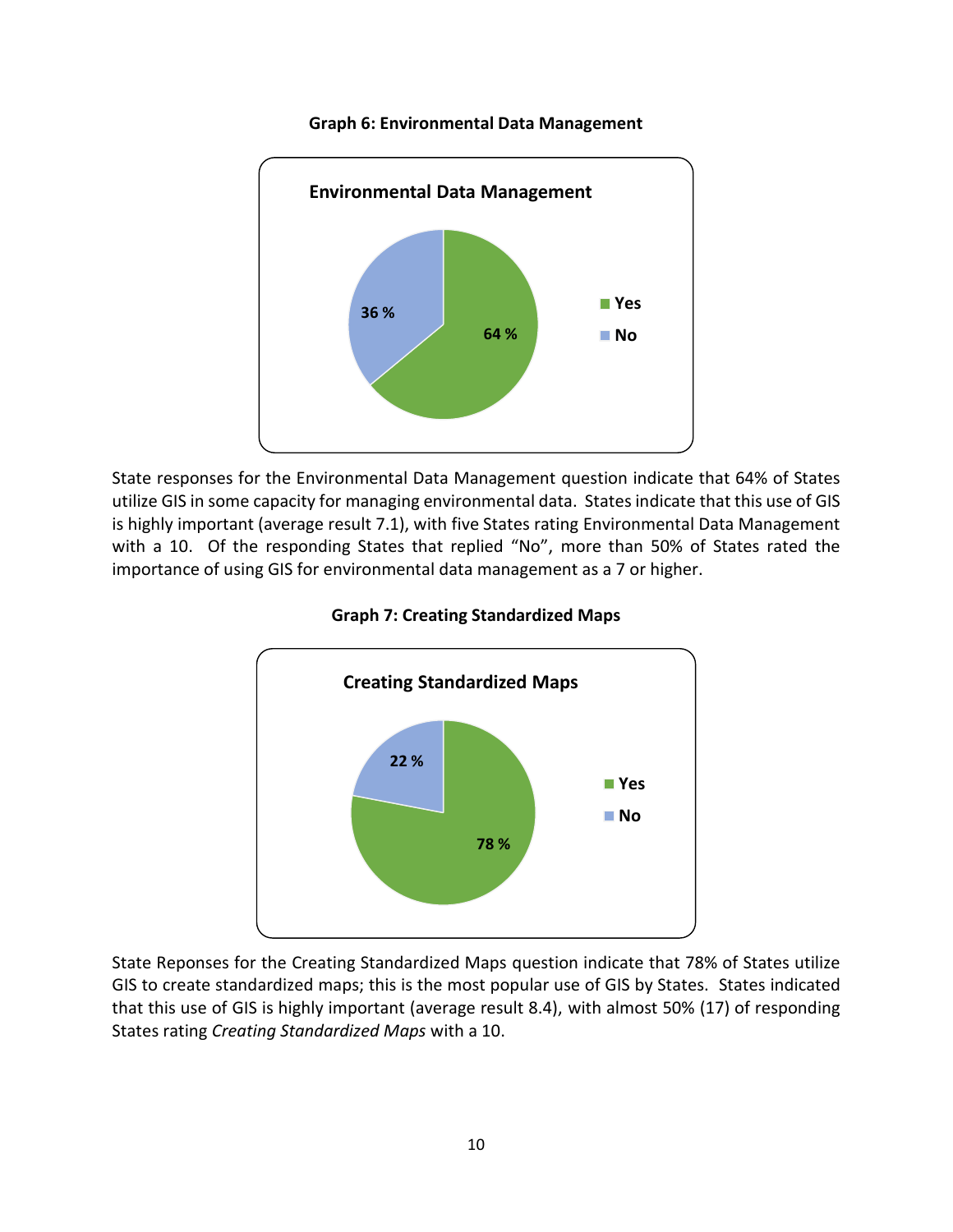

#### **Graph 6: Environmental Data Management**

State responses for the Environmental Data Management question indicate that 64% of States utilize GIS in some capacity for managing environmental data. States indicate that this use of GIS is highly important (average result 7.1), with five States rating Environmental Data Management with a 10. Of the responding States that replied "No", more than 50% of States rated the importance of using GIS for environmental data management as a 7 or higher.





State Reponses for the Creating Standardized Maps question indicate that 78% of States utilize GIS to create standardized maps; this is the most popular use of GIS by States. States indicated that this use of GIS is highly important (average result 8.4), with almost 50% (17) of responding States rating *Creating Standardized Maps* with a 10.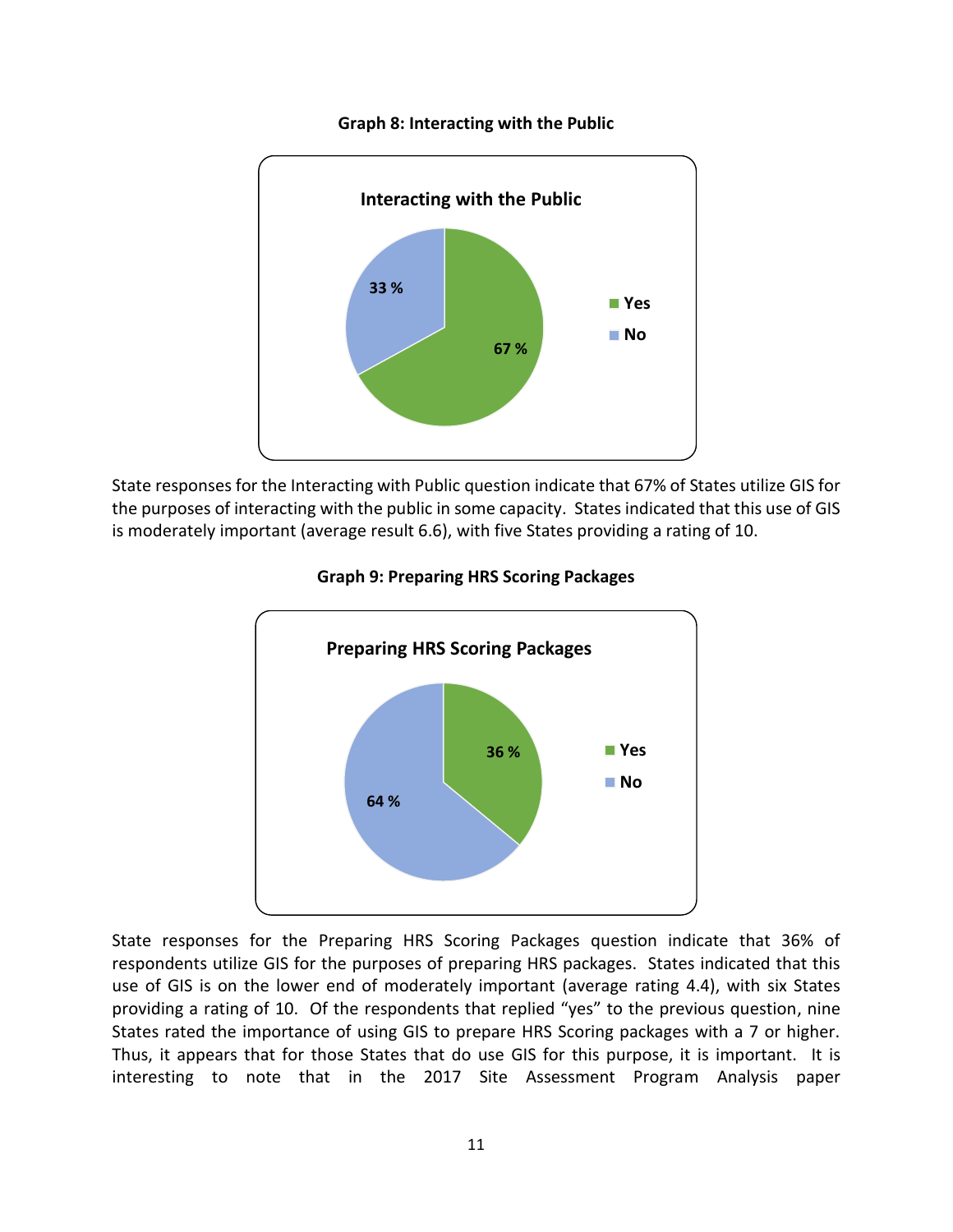

#### **Graph 8: Interacting with the Public**

State responses for the Interacting with Public question indicate that 67% of States utilize GIS for the purposes of interacting with the public in some capacity. States indicated that this use of GIS is moderately important (average result 6.6), with five States providing a rating of 10.





State responses for the Preparing HRS Scoring Packages question indicate that 36% of respondents utilize GIS for the purposes of preparing HRS packages. States indicated that this use of GIS is on the lower end of moderately important (average rating 4.4), with six States providing a rating of 10. Of the respondents that replied "yes" to the previous question, nine States rated the importance of using GIS to prepare HRS Scoring packages with a 7 or higher. Thus, it appears that for those States that do use GIS for this purpose, it is important. It is interesting to note that in the 2017 Site Assessment Program Analysis paper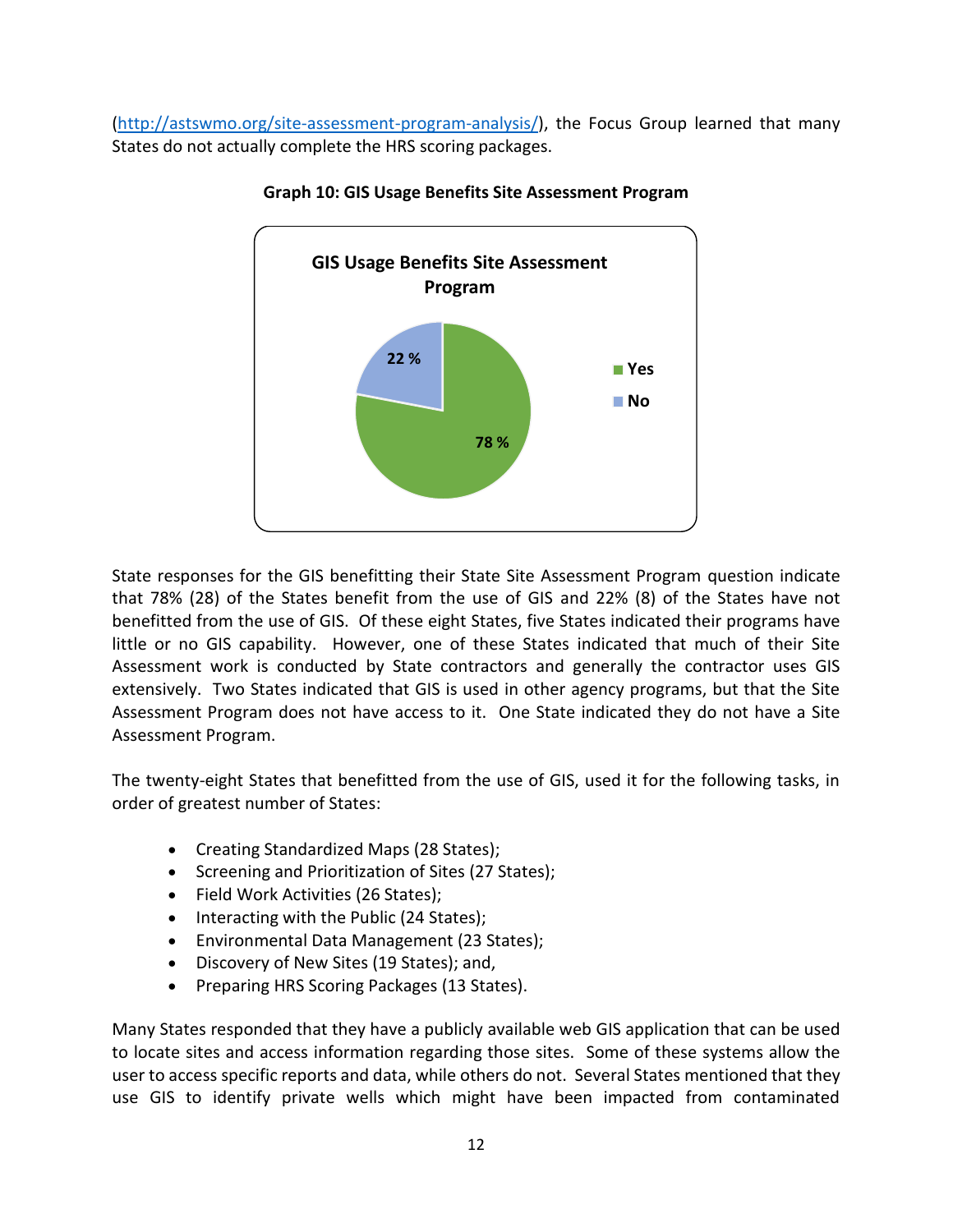[\(http://astswmo.org/site-assessment-program-analysis/\)](http://astswmo.org/site-assessment-program-analysis/), the Focus Group learned that many States do not actually complete the HRS scoring packages.



#### **Graph 10: GIS Usage Benefits Site Assessment Program**

State responses for the GIS benefitting their State Site Assessment Program question indicate that 78% (28) of the States benefit from the use of GIS and 22% (8) of the States have not benefitted from the use of GIS. Of these eight States, five States indicated their programs have little or no GIS capability. However, one of these States indicated that much of their Site Assessment work is conducted by State contractors and generally the contractor uses GIS extensively. Two States indicated that GIS is used in other agency programs, but that the Site Assessment Program does not have access to it. One State indicated they do not have a Site Assessment Program.

The twenty-eight States that benefitted from the use of GIS, used it for the following tasks, in order of greatest number of States:

- Creating Standardized Maps (28 States);
- Screening and Prioritization of Sites (27 States);
- Field Work Activities (26 States);
- Interacting with the Public (24 States);
- Environmental Data Management (23 States);
- Discovery of New Sites (19 States); and,
- Preparing HRS Scoring Packages (13 States).

Many States responded that they have a publicly available web GIS application that can be used to locate sites and access information regarding those sites. Some of these systems allow the user to access specific reports and data, while others do not. Several States mentioned that they use GIS to identify private wells which might have been impacted from contaminated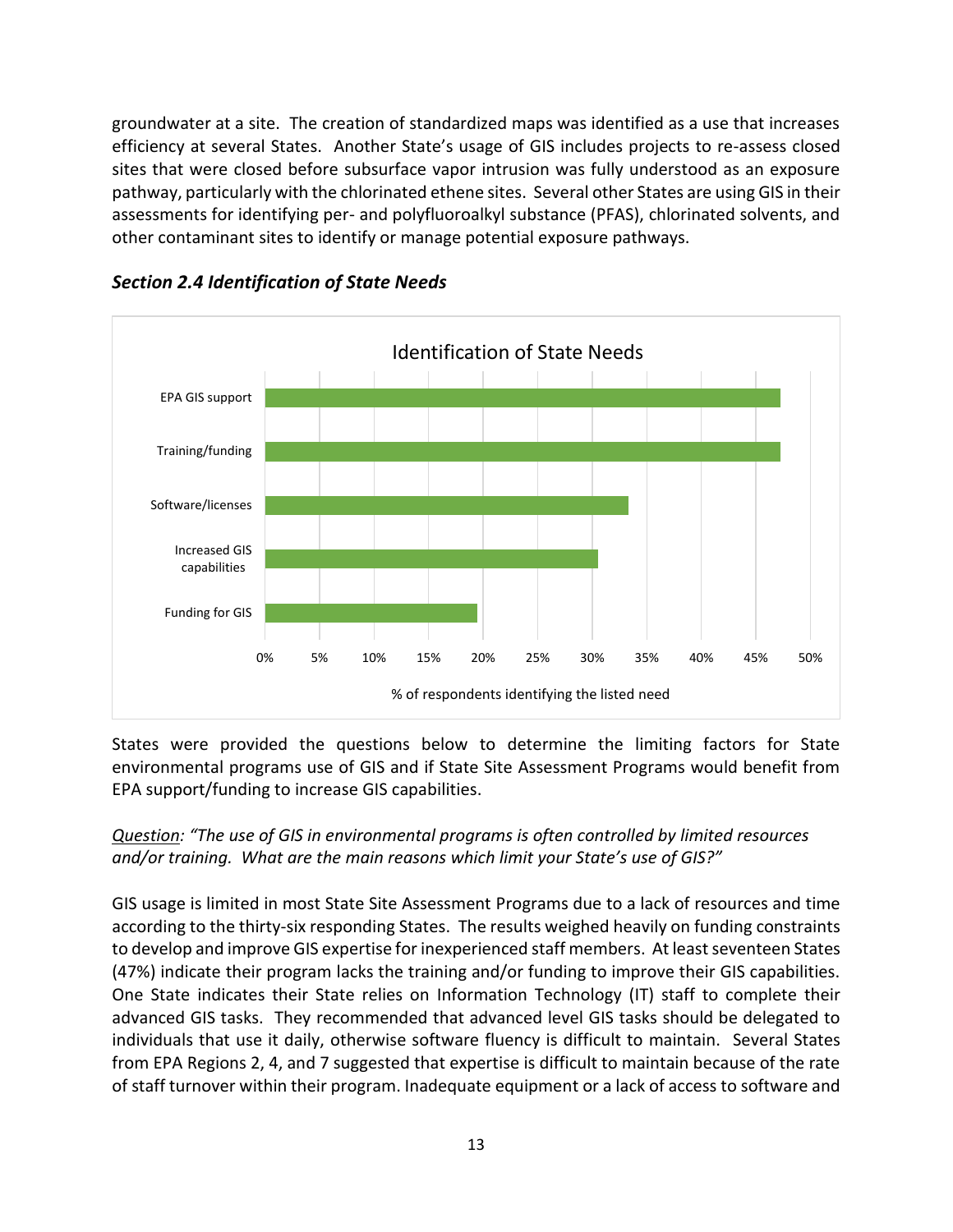groundwater at a site. The creation of standardized maps was identified as a use that increases efficiency at several States. Another State's usage of GIS includes projects to re-assess closed sites that were closed before subsurface vapor intrusion was fully understood as an exposure pathway, particularly with the chlorinated ethene sites. Several other States are using GIS in their assessments for identifying per- and polyfluoroalkyl substance (PFAS), chlorinated solvents, and other contaminant sites to identify or manage potential exposure pathways.



<span id="page-16-0"></span>*Section 2.4 Identification of State Needs* 

States were provided the questions below to determine the limiting factors for State environmental programs use of GIS and if State Site Assessment Programs would benefit from EPA support/funding to increase GIS capabilities.

#### *Question: "The use of GIS in environmental programs is often controlled by limited resources and/or training. What are the main reasons which limit your State's use of GIS?"*

GIS usage is limited in most State Site Assessment Programs due to a lack of resources and time according to the thirty-six responding States. The results weighed heavily on funding constraints to develop and improve GIS expertise for inexperienced staff members. At least seventeen States (47%) indicate their program lacks the training and/or funding to improve their GIS capabilities. One State indicates their State relies on Information Technology (IT) staff to complete their advanced GIS tasks. They recommended that advanced level GIS tasks should be delegated to individuals that use it daily, otherwise software fluency is difficult to maintain. Several States from EPA Regions 2, 4, and 7 suggested that expertise is difficult to maintain because of the rate of staff turnover within their program. Inadequate equipment or a lack of access to software and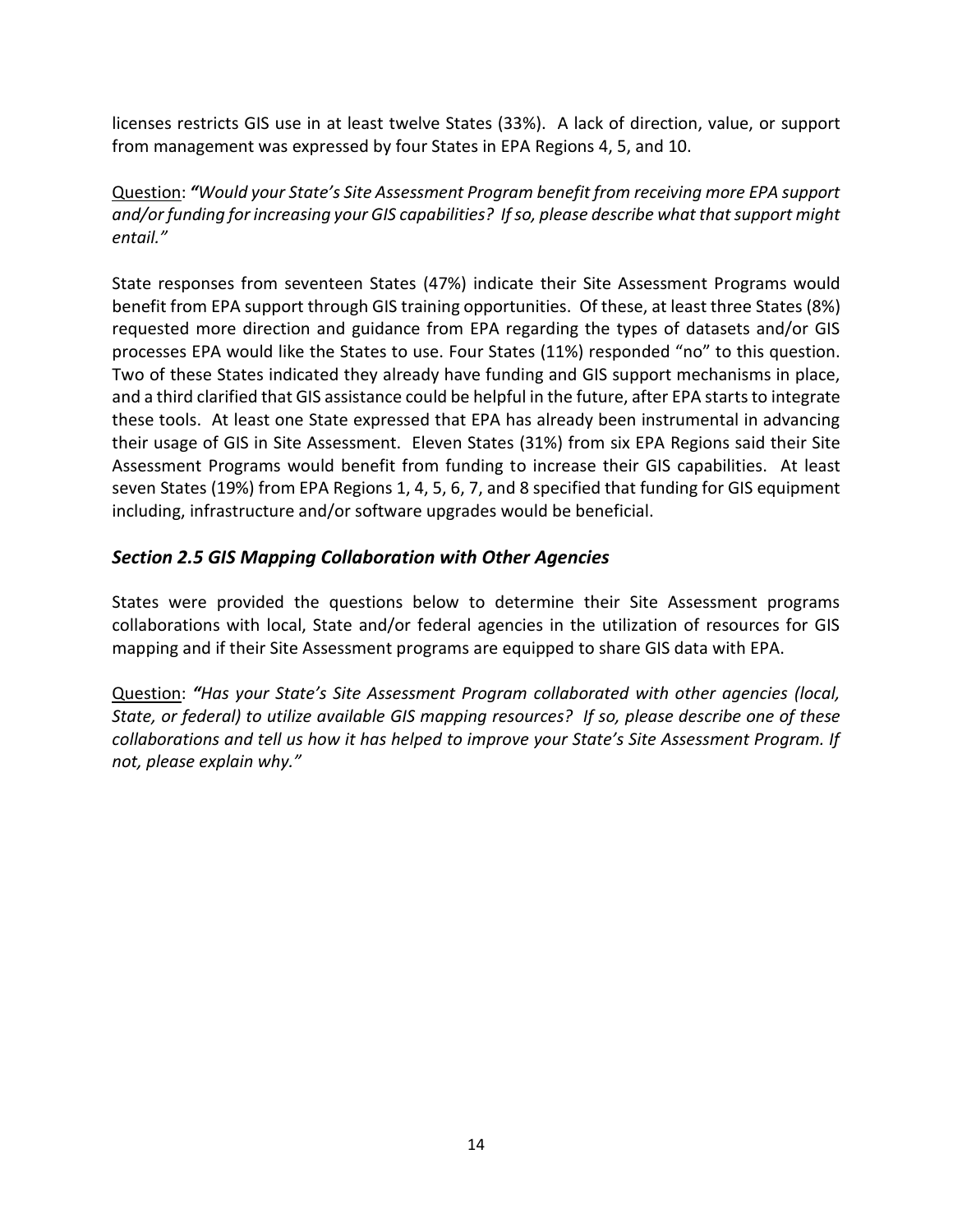licenses restricts GIS use in at least twelve States (33%). A lack of direction, value, or support from management was expressed by four States in EPA Regions 4, 5, and 10.

Question: *"Would your State's Site Assessment Program benefit from receiving more EPA support and/or funding for increasing your GIS capabilities? If so, please describe what that support might entail."*

State responses from seventeen States (47%) indicate their Site Assessment Programs would benefit from EPA support through GIS training opportunities. Of these, at least three States (8%) requested more direction and guidance from EPA regarding the types of datasets and/or GIS processes EPA would like the States to use. Four States (11%) responded "no" to this question. Two of these States indicated they already have funding and GIS support mechanisms in place, and a third clarified that GIS assistance could be helpful in the future, after EPA starts to integrate these tools. At least one State expressed that EPA has already been instrumental in advancing their usage of GIS in Site Assessment. Eleven States (31%) from six EPA Regions said their Site Assessment Programs would benefit from funding to increase their GIS capabilities. At least seven States (19%) from EPA Regions 1, 4, 5, 6, 7, and 8 specified that funding for GIS equipment including, infrastructure and/or software upgrades would be beneficial.

#### <span id="page-17-0"></span>*Section 2.5 GIS Mapping Collaboration with Other Agencies*

States were provided the questions below to determine their Site Assessment programs collaborations with local, State and/or federal agencies in the utilization of resources for GIS mapping and if their Site Assessment programs are equipped to share GIS data with EPA.

Question: *"Has your State's Site Assessment Program collaborated with other agencies (local, State, or federal) to utilize available GIS mapping resources? If so, please describe one of these collaborations and tell us how it has helped to improve your State's Site Assessment Program. If not, please explain why."*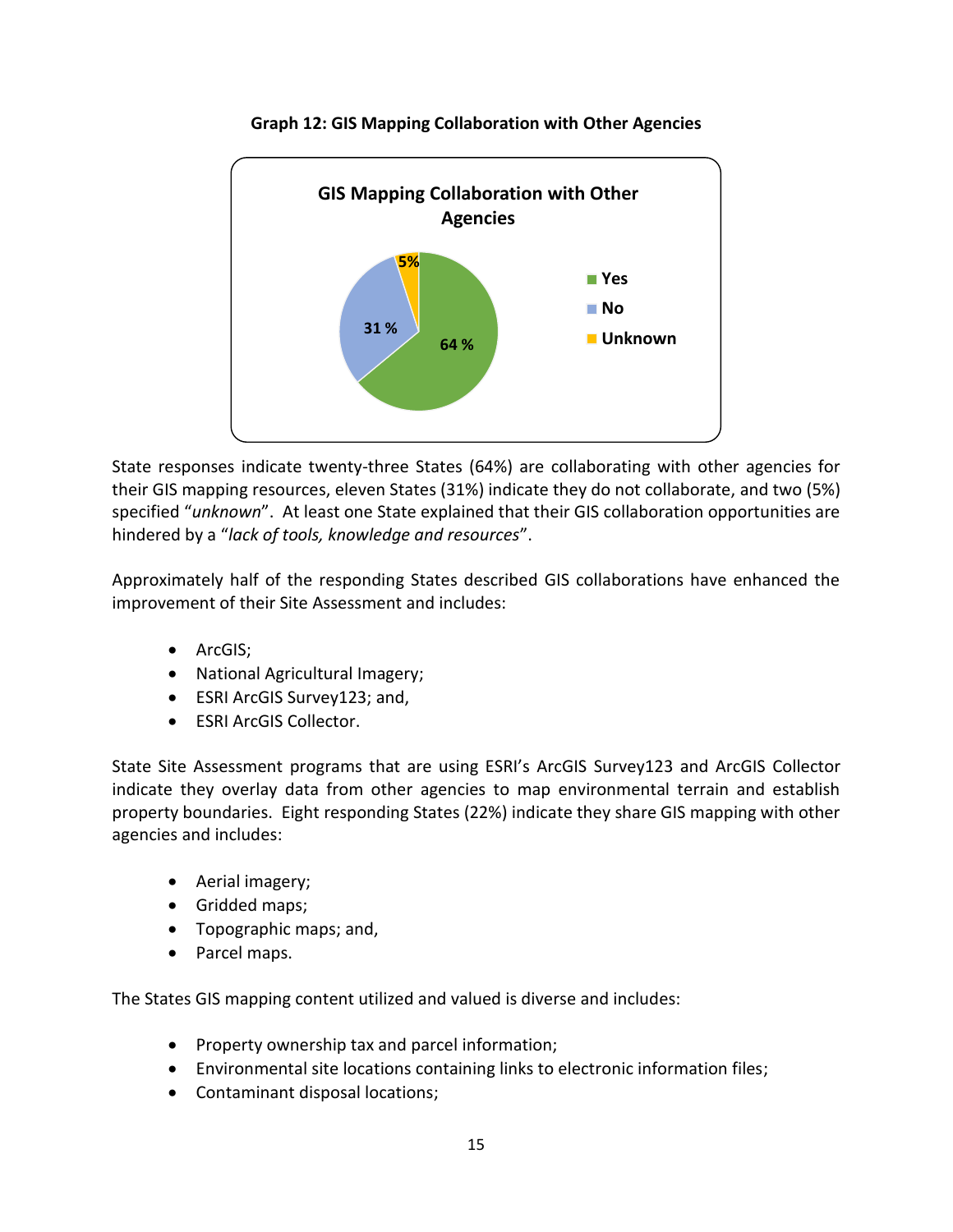

**Graph 12: GIS Mapping Collaboration with Other Agencies**

State responses indicate twenty-three States (64%) are collaborating with other agencies for their GIS mapping resources, eleven States (31%) indicate they do not collaborate, and two (5%) specified "*unknown*". At least one State explained that their GIS collaboration opportunities are hindered by a "*lack of tools, knowledge and resources*".

Approximately half of the responding States described GIS collaborations have enhanced the improvement of their Site Assessment and includes:

- ArcGIS;
- National Agricultural Imagery;
- ESRI ArcGIS Survey123; and,
- ESRI ArcGIS Collector.

State Site Assessment programs that are using ESRI's ArcGIS Survey123 and ArcGIS Collector indicate they overlay data from other agencies to map environmental terrain and establish property boundaries. Eight responding States (22%) indicate they share GIS mapping with other agencies and includes:

- Aerial imagery;
- Gridded maps;
- Topographic maps; and,
- Parcel maps.

The States GIS mapping content utilized and valued is diverse and includes:

- Property ownership tax and parcel information;
- Environmental site locations containing links to electronic information files;
- Contaminant disposal locations;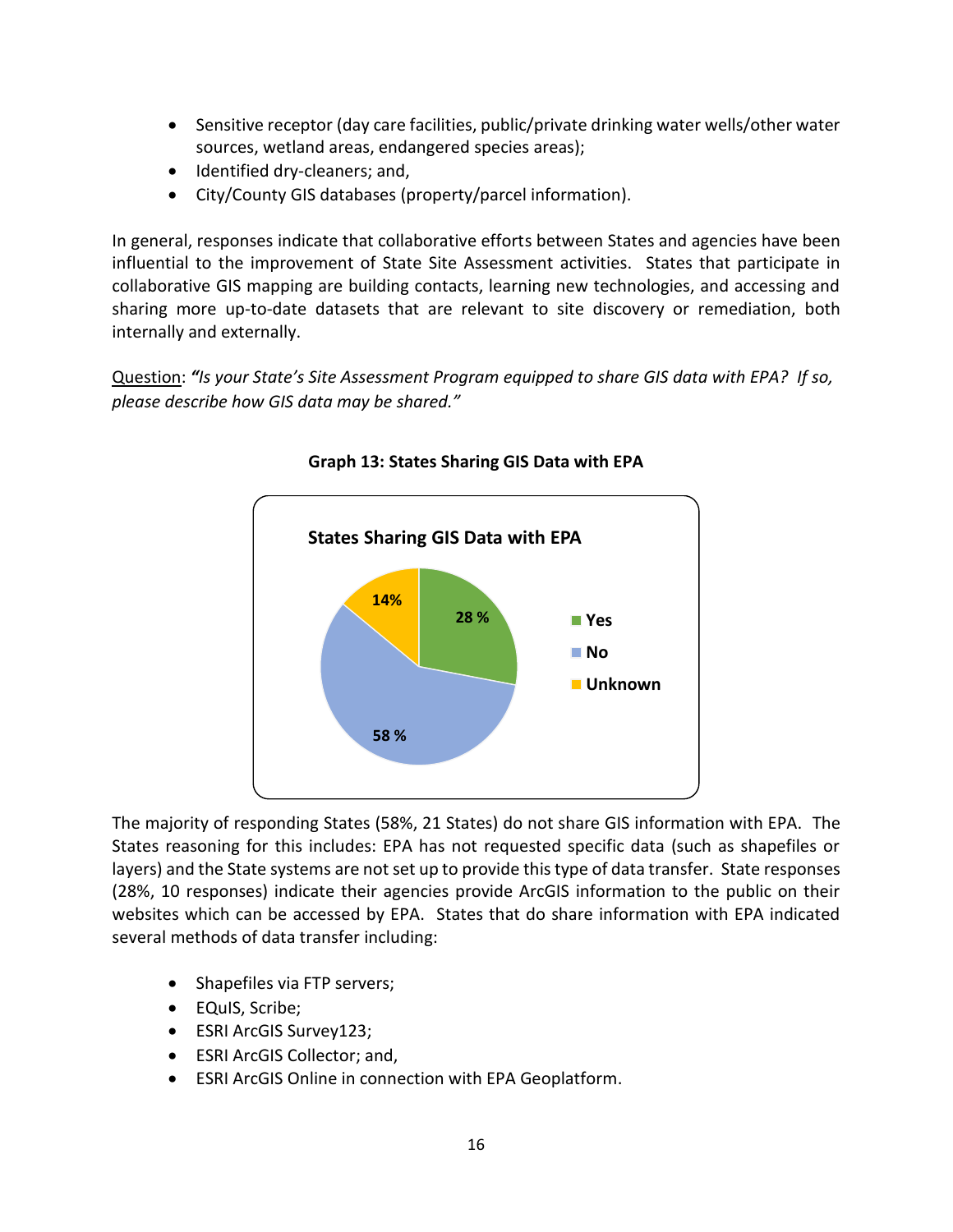- Sensitive receptor (day care facilities, public/private drinking water wells/other water sources, wetland areas, endangered species areas);
- Identified dry-cleaners; and,
- City/County GIS databases (property/parcel information).

In general, responses indicate that collaborative efforts between States and agencies have been influential to the improvement of State Site Assessment activities. States that participate in collaborative GIS mapping are building contacts, learning new technologies, and accessing and sharing more up-to-date datasets that are relevant to site discovery or remediation, both internally and externally.

Question: *"Is your State's Site Assessment Program equipped to share GIS data with EPA? If so, please describe how GIS data may be shared."*



**Graph 13: States Sharing GIS Data with EPA**

The majority of responding States (58%, 21 States) do not share GIS information with EPA. The States reasoning for this includes: EPA has not requested specific data (such as shapefiles or layers) and the State systems are not set up to provide this type of data transfer. State responses (28%, 10 responses) indicate their agencies provide ArcGIS information to the public on their websites which can be accessed by EPA. States that do share information with EPA indicated several methods of data transfer including:

- Shapefiles via FTP servers;
- EQuIS, Scribe;
- ESRI ArcGIS Survey123;
- ESRI ArcGIS Collector; and,
- ESRI ArcGIS Online in connection with EPA Geoplatform.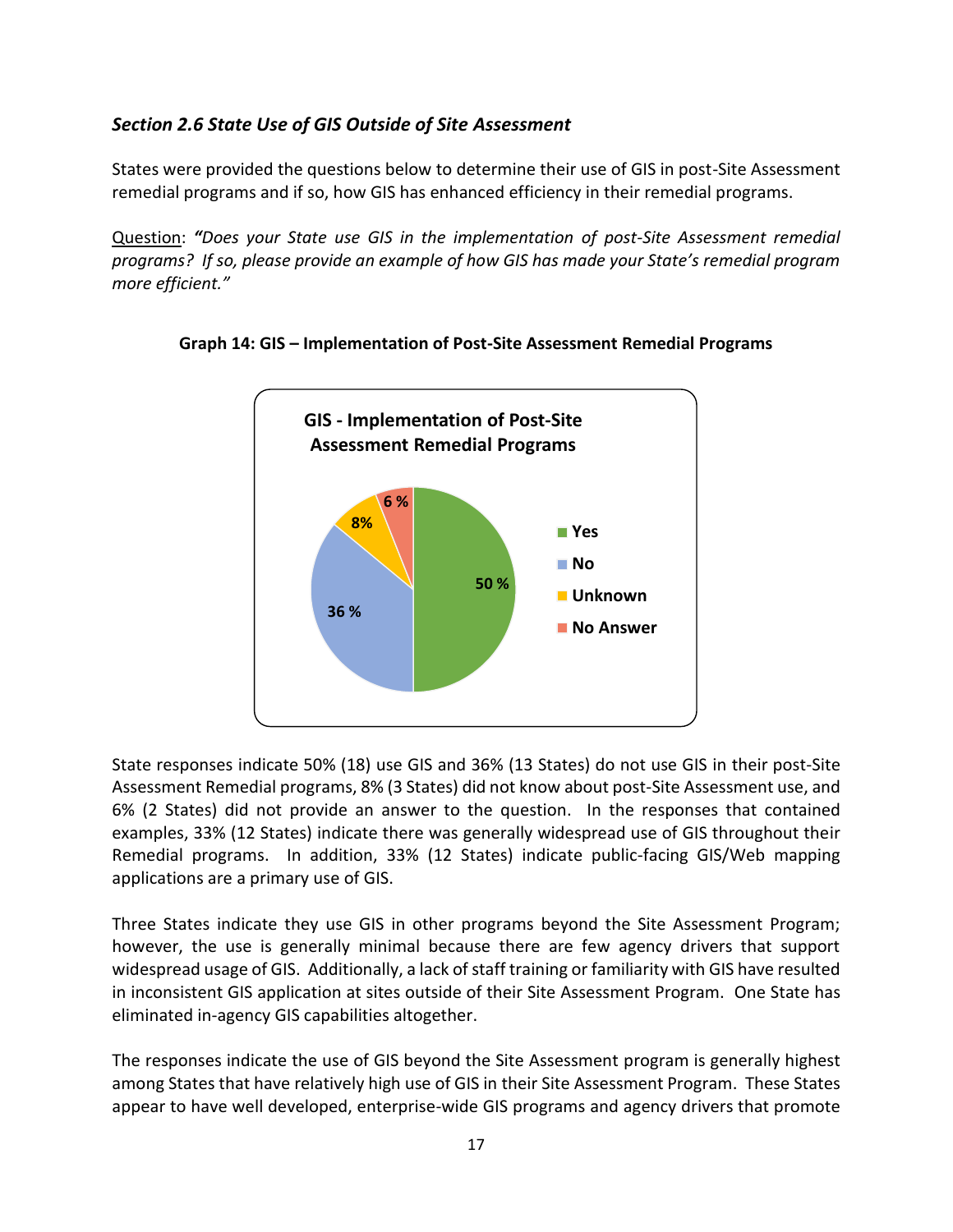#### <span id="page-20-0"></span>*Section 2.6 State Use of GIS Outside of Site Assessment*

States were provided the questions below to determine their use of GIS in post-Site Assessment remedial programs and if so, how GIS has enhanced efficiency in their remedial programs.

Question: *"Does your State use GIS in the implementation of post-Site Assessment remedial programs? If so, please provide an example of how GIS has made your State's remedial program more efficient."*



#### **Graph 14: GIS – Implementation of Post-Site Assessment Remedial Programs**

State responses indicate 50% (18) use GIS and 36% (13 States) do not use GIS in their post-Site Assessment Remedial programs, 8% (3 States) did not know about post-Site Assessment use, and 6% (2 States) did not provide an answer to the question. In the responses that contained examples, 33% (12 States) indicate there was generally widespread use of GIS throughout their Remedial programs. In addition, 33% (12 States) indicate public-facing GIS/Web mapping applications are a primary use of GIS.

Three States indicate they use GIS in other programs beyond the Site Assessment Program; however, the use is generally minimal because there are few agency drivers that support widespread usage of GIS. Additionally, a lack of staff training or familiarity with GIS have resulted in inconsistent GIS application at sites outside of their Site Assessment Program. One State has eliminated in-agency GIS capabilities altogether.

The responses indicate the use of GIS beyond the Site Assessment program is generally highest among States that have relatively high use of GIS in their Site Assessment Program. These States appear to have well developed, enterprise-wide GIS programs and agency drivers that promote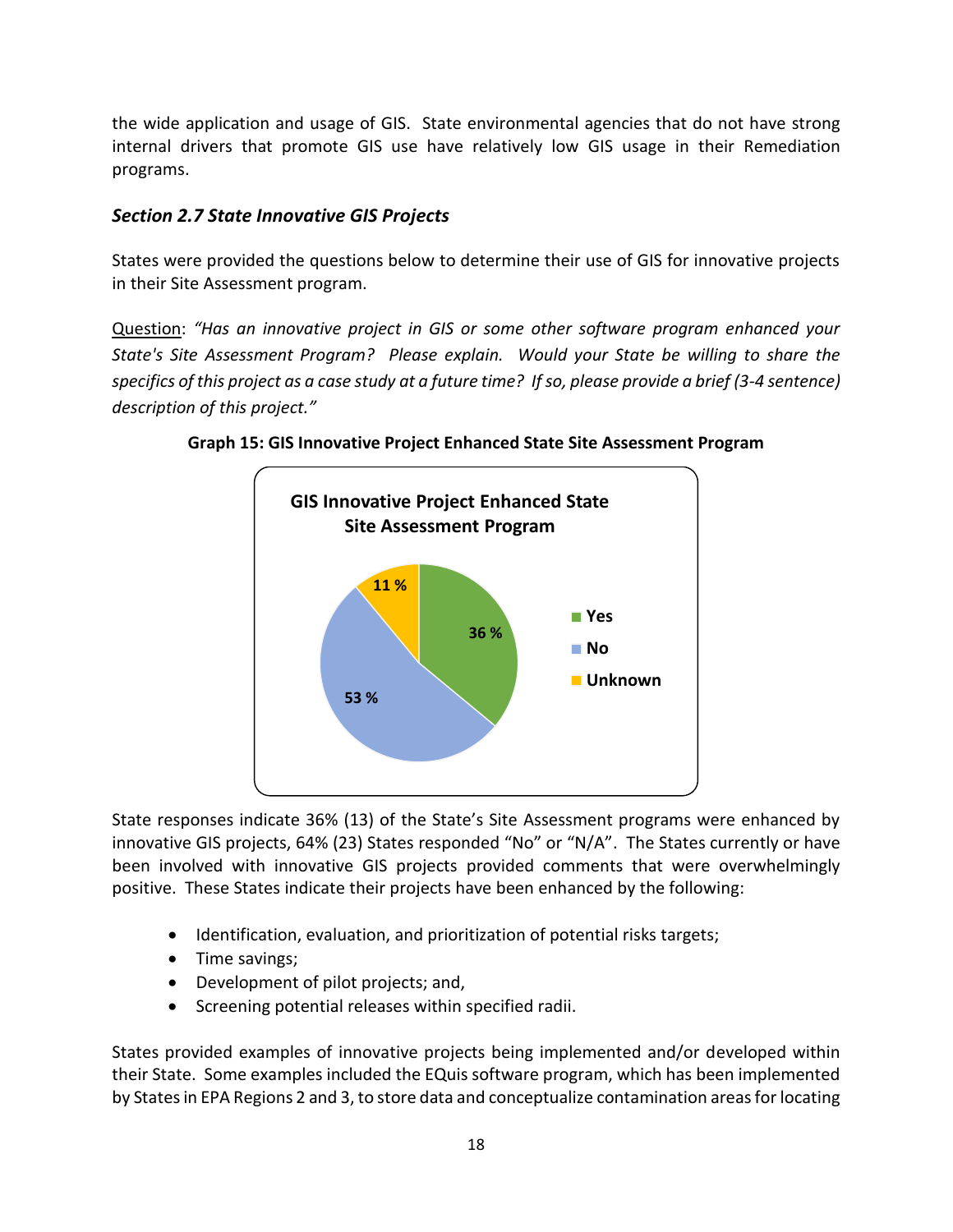<span id="page-21-0"></span>the wide application and usage of GIS. State environmental agencies that do not have strong internal drivers that promote GIS use have relatively low GIS usage in their Remediation programs.

#### *Section 2.7 State Innovative GIS Projects*

States were provided the questions below to determine their use of GIS for innovative projects in their Site Assessment program.

Question: *"Has an innovative project in GIS or some other software program enhanced your State's Site Assessment Program? Please explain. Would your State be willing to share the specifics of this project as a case study at a future time? If so, please provide a brief (3-4 sentence) description of this project."*



**Graph 15: GIS Innovative Project Enhanced State Site Assessment Program**

State responses indicate 36% (13) of the State's Site Assessment programs were enhanced by innovative GIS projects, 64% (23) States responded "No" or "N/A". The States currently or have been involved with innovative GIS projects provided comments that were overwhelmingly positive. These States indicate their projects have been enhanced by the following:

- Identification, evaluation, and prioritization of potential risks targets;
- Time savings;
- Development of pilot projects; and,
- Screening potential releases within specified radii.

States provided examples of innovative projects being implemented and/or developed within their State. Some examples included the EQuis software program, which has been implemented by States in EPA Regions 2 and 3, to store data and conceptualize contamination areas for locating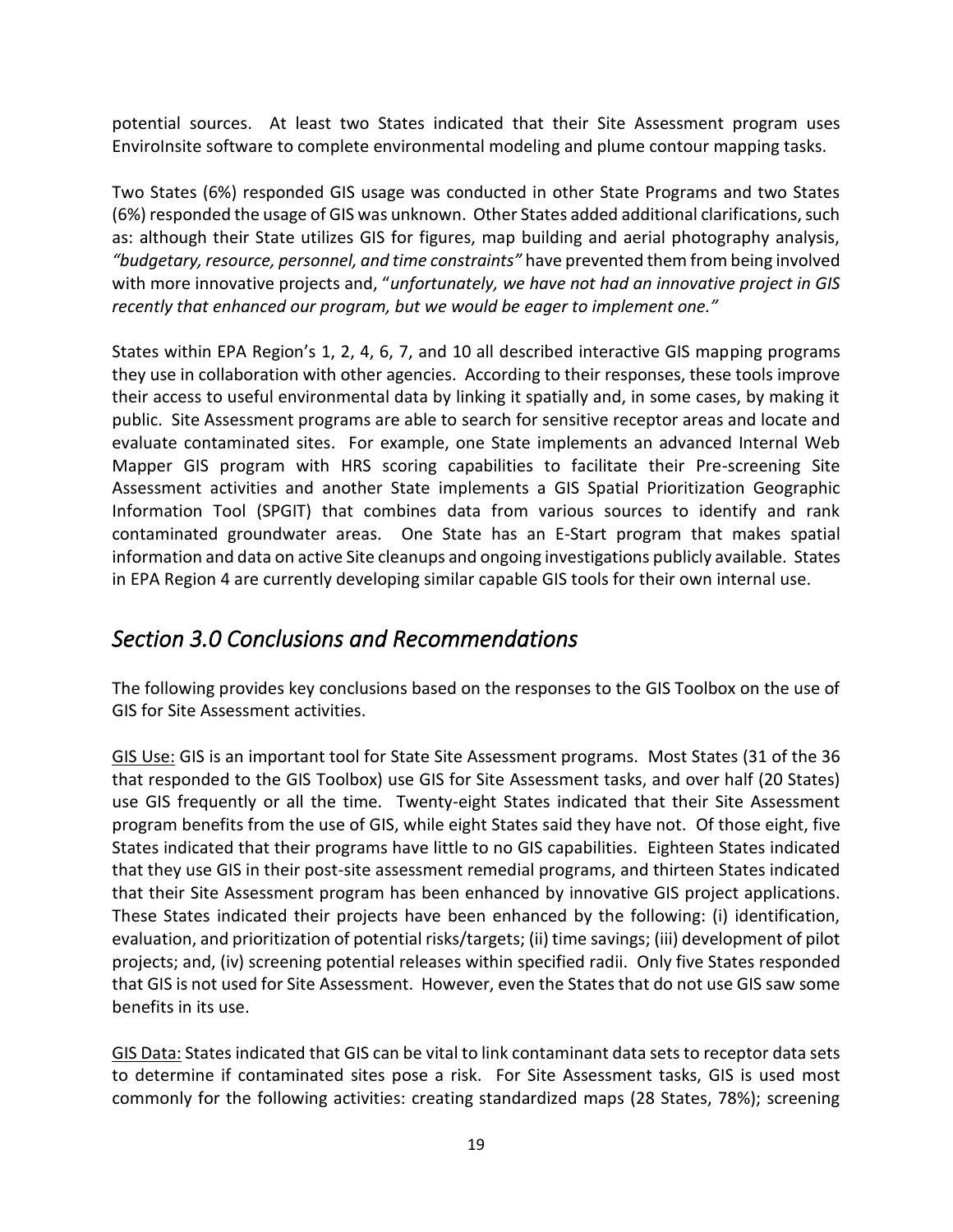potential sources. At least two States indicated that their Site Assessment program uses EnviroInsite software to complete environmental modeling and plume contour mapping tasks.

Two States (6%) responded GIS usage was conducted in other State Programs and two States (6%) responded the usage of GIS was unknown. Other States added additional clarifications, such as: although their State utilizes GIS for figures, map building and aerial photography analysis, *"budgetary, resource, personnel, and time constraints"* have prevented them from being involved with more innovative projects and, "*unfortunately, we have not had an innovative project in GIS recently that enhanced our program, but we would be eager to implement one."* 

States within EPA Region's 1, 2, 4, 6, 7, and 10 all described interactive GIS mapping programs they use in collaboration with other agencies. According to their responses, these tools improve their access to useful environmental data by linking it spatially and, in some cases, by making it public. Site Assessment programs are able to search for sensitive receptor areas and locate and evaluate contaminated sites. For example, one State implements an advanced Internal Web Mapper GIS program with HRS scoring capabilities to facilitate their Pre-screening Site Assessment activities and another State implements a GIS Spatial Prioritization Geographic Information Tool (SPGIT) that combines data from various sources to identify and rank contaminated groundwater areas. One State has an E-Start program that makes spatial information and data on active Site cleanups and ongoing investigations publicly available. States in EPA Region 4 are currently developing similar capable GIS tools for their own internal use.

# <span id="page-22-0"></span>*Section 3.0 Conclusions and Recommendations*

The following provides key conclusions based on the responses to the GIS Toolbox on the use of GIS for Site Assessment activities.

GIS Use: GIS is an important tool for State Site Assessment programs. Most States (31 of the 36 that responded to the GIS Toolbox) use GIS for Site Assessment tasks, and over half (20 States) use GIS frequently or all the time. Twenty-eight States indicated that their Site Assessment program benefits from the use of GIS, while eight States said they have not. Of those eight, five States indicated that their programs have little to no GIS capabilities. Eighteen States indicated that they use GIS in their post-site assessment remedial programs, and thirteen States indicated that their Site Assessment program has been enhanced by innovative GIS project applications. These States indicated their projects have been enhanced by the following: (i) identification, evaluation, and prioritization of potential risks/targets; (ii) time savings; (iii) development of pilot projects; and, (iv) screening potential releases within specified radii. Only five States responded that GIS is not used for Site Assessment. However, even the States that do not use GIS saw some benefits in its use.

GIS Data: States indicated that GIS can be vital to link contaminant data sets to receptor data sets to determine if contaminated sites pose a risk. For Site Assessment tasks, GIS is used most commonly for the following activities: creating standardized maps (28 States, 78%); screening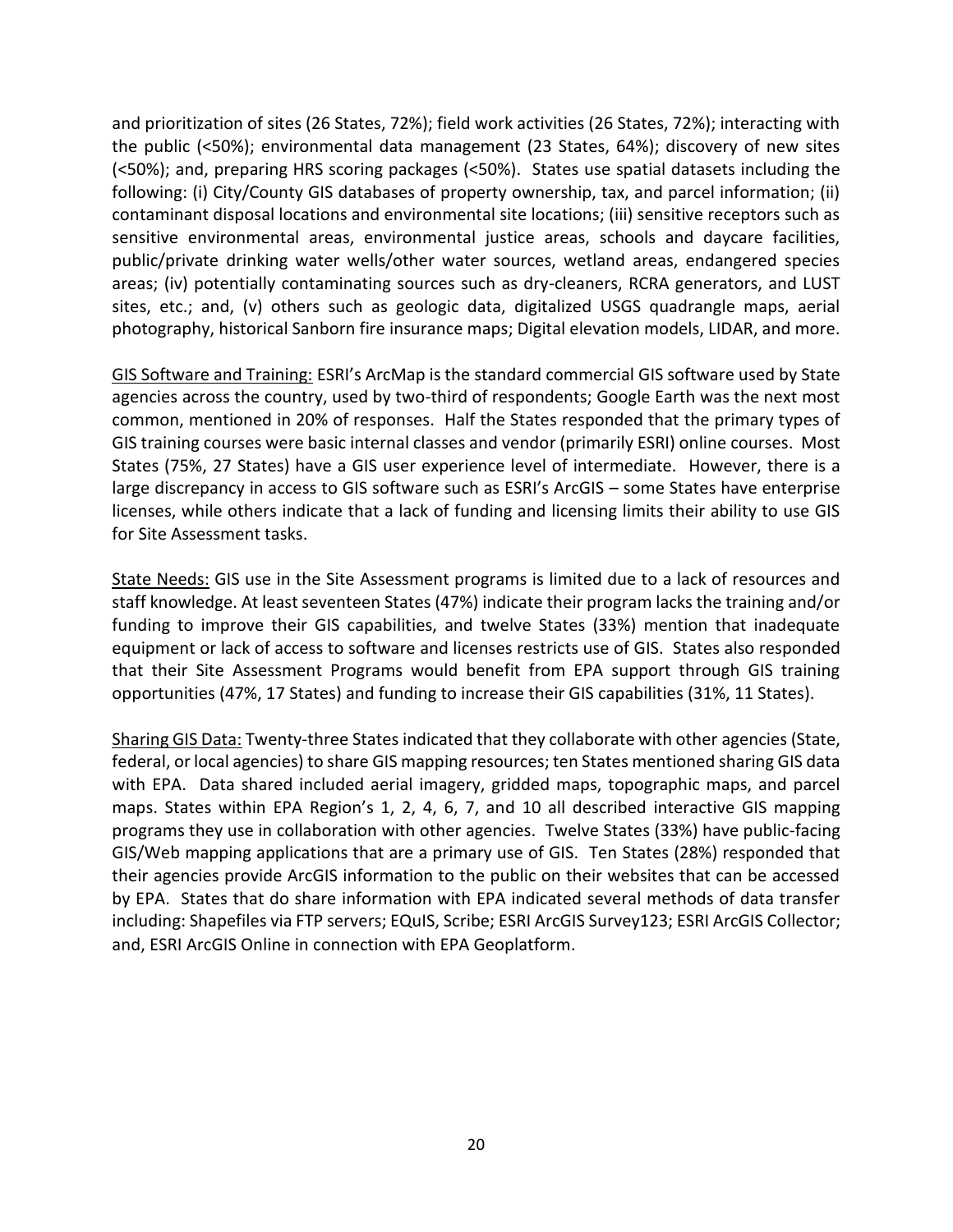and prioritization of sites (26 States, 72%); field work activities (26 States, 72%); interacting with the public (<50%); environmental data management (23 States, 64%); discovery of new sites (<50%); and, preparing HRS scoring packages (<50%). States use spatial datasets including the following: (i) City/County GIS databases of property ownership, tax, and parcel information; (ii) contaminant disposal locations and environmental site locations; (iii) sensitive receptors such as sensitive environmental areas, environmental justice areas, schools and daycare facilities, public/private drinking water wells/other water sources, wetland areas, endangered species areas; (iv) potentially contaminating sources such as dry-cleaners, RCRA generators, and LUST sites, etc.; and, (v) others such as geologic data, digitalized USGS quadrangle maps, aerial photography, historical Sanborn fire insurance maps; Digital elevation models, LIDAR, and more.

GIS Software and Training: ESRI's ArcMap is the standard commercial GIS software used by State agencies across the country, used by two-third of respondents; Google Earth was the next most common, mentioned in 20% of responses. Half the States responded that the primary types of GIS training courses were basic internal classes and vendor (primarily ESRI) online courses. Most States (75%, 27 States) have a GIS user experience level of intermediate. However, there is a large discrepancy in access to GIS software such as ESRI's ArcGIS – some States have enterprise licenses, while others indicate that a lack of funding and licensing limits their ability to use GIS for Site Assessment tasks.

State Needs: GIS use in the Site Assessment programs is limited due to a lack of resources and staff knowledge. At least seventeen States (47%) indicate their program lacks the training and/or funding to improve their GIS capabilities, and twelve States (33%) mention that inadequate equipment or lack of access to software and licenses restricts use of GIS. States also responded that their Site Assessment Programs would benefit from EPA support through GIS training opportunities (47%, 17 States) and funding to increase their GIS capabilities (31%, 11 States).

Sharing GIS Data: Twenty-three States indicated that they collaborate with other agencies (State, federal, or local agencies) to share GIS mapping resources; ten States mentioned sharing GIS data with EPA. Data shared included aerial imagery, gridded maps, topographic maps, and parcel maps. States within EPA Region's 1, 2, 4, 6, 7, and 10 all described interactive GIS mapping programs they use in collaboration with other agencies. Twelve States (33%) have public-facing GIS/Web mapping applications that are a primary use of GIS. Ten States (28%) responded that their agencies provide ArcGIS information to the public on their websites that can be accessed by EPA. States that do share information with EPA indicated several methods of data transfer including: Shapefiles via FTP servers; EQuIS, Scribe; ESRI ArcGIS Survey123; ESRI ArcGIS Collector; and, ESRI ArcGIS Online in connection with EPA Geoplatform.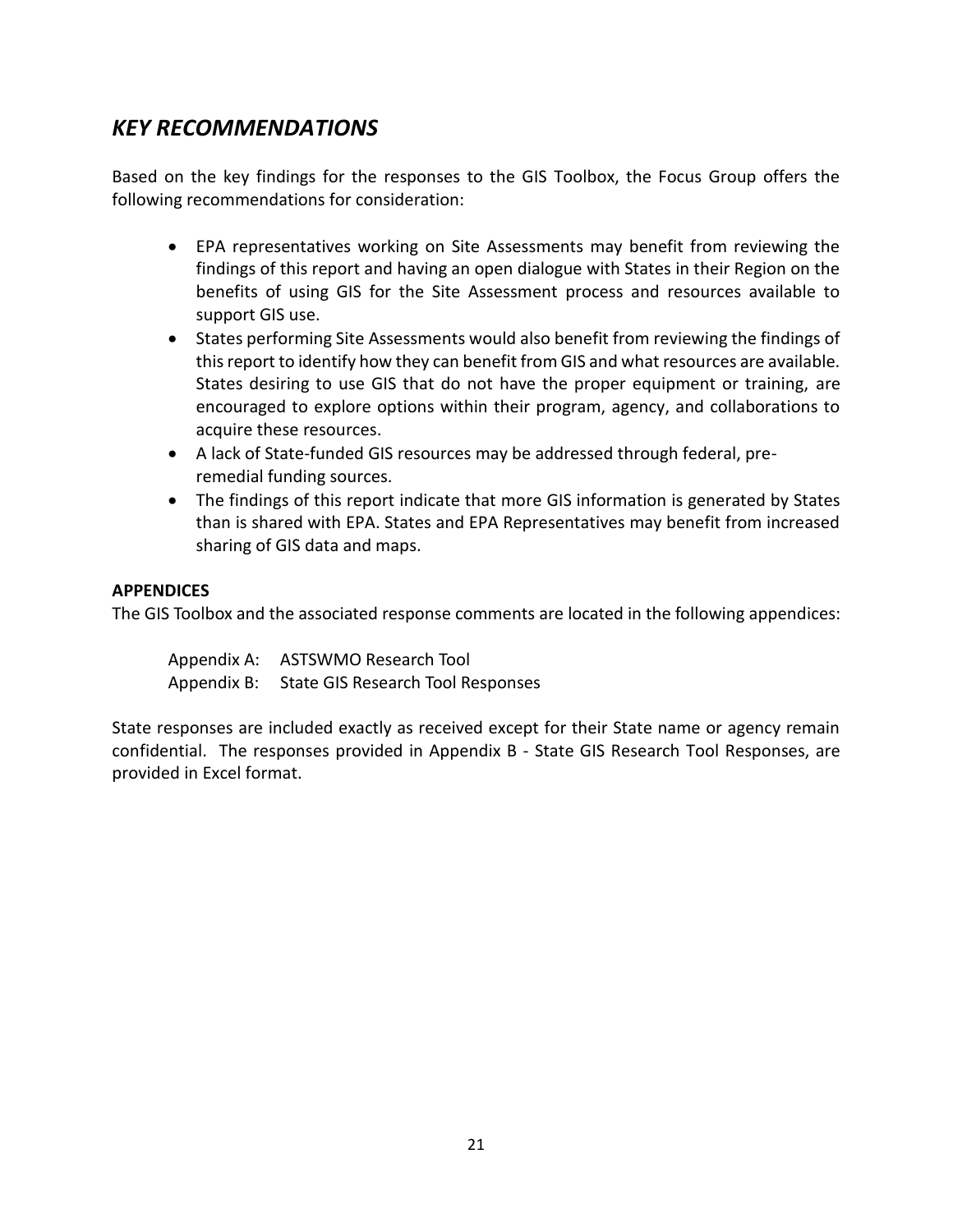### *KEY RECOMMENDATIONS*

Based on the key findings for the responses to the GIS Toolbox, the Focus Group offers the following recommendations for consideration:

- EPA representatives working on Site Assessments may benefit from reviewing the findings of this report and having an open dialogue with States in their Region on the benefits of using GIS for the Site Assessment process and resources available to support GIS use.
- States performing Site Assessments would also benefit from reviewing the findings of this report to identify how they can benefit from GIS and what resources are available. States desiring to use GIS that do not have the proper equipment or training, are encouraged to explore options within their program, agency, and collaborations to acquire these resources.
- A lack of State-funded GIS resources may be addressed through federal, preremedial funding sources.
- The findings of this report indicate that more GIS information is generated by States than is shared with EPA. States and EPA Representatives may benefit from increased sharing of GIS data and maps.

#### **APPENDICES**

The GIS Toolbox and the associated response comments are located in the following appendices:

Appendix A: ASTSWMO Research Tool Appendix B: State GIS Research Tool Responses

State responses are included exactly as received except for their State name or agency remain confidential. The responses provided in Appendix B - State GIS Research Tool Responses, are provided in Excel format.